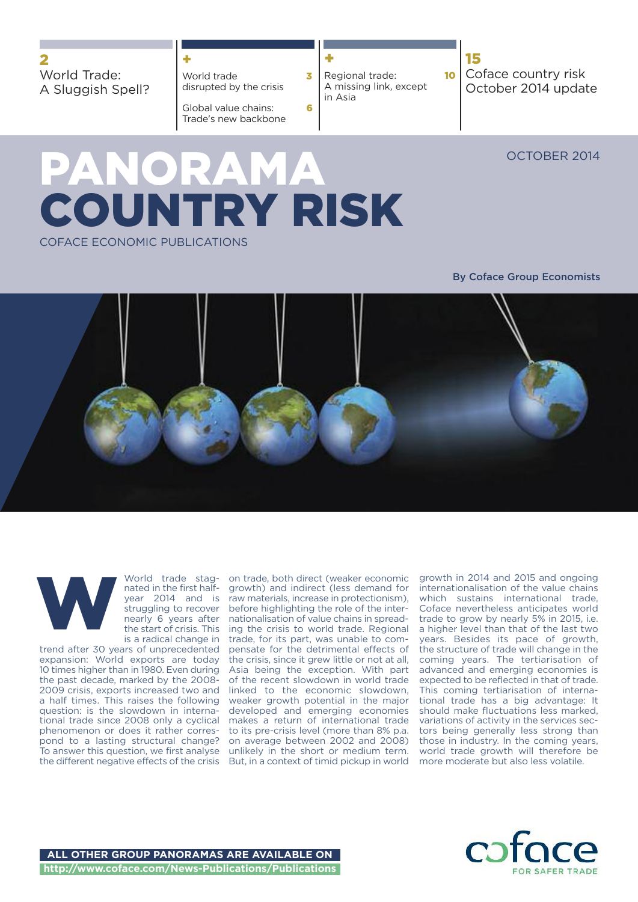World Trade: A Sluggish Spell?

## **+**

World trade **3** disrupted by the crisis

Global value chains: **6** Trade's new backbone

**+** Regional trade: **10** A missing link, except in Asia

**15** Coface country risk October 2014 update

OCTOBER 2014

# **PANORAMA COUNTRY RISK** COFACE ECONOMIC PUBLICATIONS

### **By Coface Group Economists**





World trade stagnated in the first halfyear 2014 and is struggling to recover nearly 6 years after the start of crisis. This is a radical change in

trend after 30 years of unprecedented expansion: World exports are today 10 times higher than in 1980. Even during the past decade, marked by the 2008- 2009 crisis, exports increased two and a half times. This raises the following question: is the slowdown in international trade since 2008 only a cyclical phenomenon or does it rather correspond to a lasting structural change? To answer this question, we first analyse the different negative effects of the crisis But, in a context of timid pickup in world

on trade, both direct (weaker economic growth) and indirect (less demand for raw materials, increase in protectionism), before highlighting the role of the internationalisation of value chains in spreading the crisis to world trade. Regional trade, for its part, was unable to compensate for the detrimental effects of the crisis, since it grew little or not at all, Asia being the exception. With part of the recent slowdown in world trade linked to the economic slowdown, weaker growth potential in the major developed and emerging economies makes a return of international trade to its pre-crisis level (more than 8% p.a. on average between 2002 and 2008) unlikely in the short or medium term.

growth in 2014 and 2015 and ongoing internationalisation of the value chains which sustains international trade, Coface nevertheless anticipates world trade to grow by nearly 5% in 2015, i.e. a higher level than that of the last two years. Besides its pace of growth, the structure of trade will change in the coming years. The tertiarisation of advanced and emerging economies is expected to be reflected in that of trade. This coming tertiarisation of international trade has a big advantage: It should make fluctuations less marked, variations of activity in the services sectors being generally less strong than those in industry. In the coming years, world trade growth will therefore be more moderate but also less volatile.

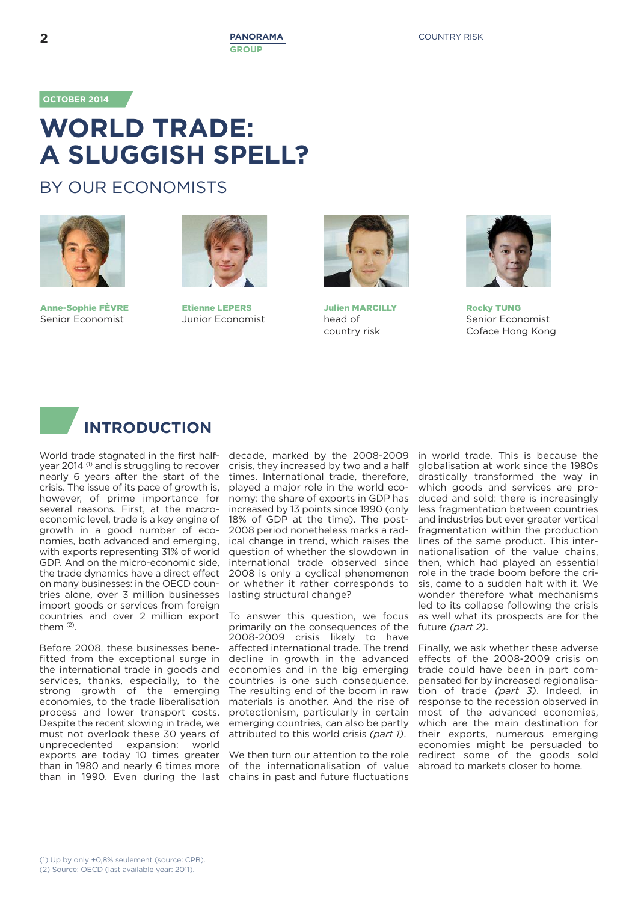**OCTOBER 2014**

# **WORLD TRADE: A SLUGGISH SPELL?**

## BY OUR ECONOMISTS



**Anne-Sophie FÈVRE** Senior Economist



**Etienne LEPERS** Junior Economist



**Julien MARCILLY** head of country risk



**Rocky TUNG** Senior Economist Coface Hong Kong



World trade stagnated in the first halfyear 2014 (1) and is struggling to recover nearly 6 years after the start of the crisis. The issue of its pace of growth is, however, of prime importance for several reasons. First, at the macroeconomic level, trade is a key engine of growth in a good number of economies, both advanced and emerging, with exports representing 31% of world GDP. And on the micro-economic side, the trade dynamics have a direct effect on many businesses: in the OECD countries alone, over 3 million businesses import goods or services from foreign countries and over 2 million export them  $(2)$ .

than in 1990. Even during the last chains in past and future fluctuations Before 2008, these businesses benefitted from the exceptional surge in the international trade in goods and services, thanks, especially, to the strong growth of the emerging economies, to the trade liberalisation process and lower transport costs. Despite the recent slowing in trade, we must not overlook these 30 years of unprecedented expansion: world exports are today 10 times greater than in 1980 and nearly 6 times more

decade, marked by the 2008-2009 crisis, they increased by two and a half times. International trade, therefore, played a major role in the world economy: the share of exports in GDP has increased by 13 points since 1990 (only 18% of GDP at the time). The post-2008 period nonetheless marks a radical change in trend, which raises the question of whether the slowdown in international trade observed since 2008 is only a cyclical phenomenon or whether it rather corresponds to lasting structural change?

To answer this question, we focus primarily on the consequences of the 2008-2009 crisis likely to have affected international trade. The trend decline in growth in the advanced economies and in the big emerging countries is one such consequence. The resulting end of the boom in raw materials is another. And the rise of protectionism, particularly in certain emerging countries, can also be partly attributed to this world crisis *(part 1)*.

We then turn our attention to the role of the internationalisation of value in world trade. This is because the globalisation at work since the 1980s drastically transformed the way in which goods and services are produced and sold: there is increasingly less fragmentation between countries and industries but ever greater vertical fragmentation within the production lines of the same product. This internationalisation of the value chains, then, which had played an essential role in the trade boom before the crisis, came to a sudden halt with it. We wonder therefore what mechanisms led to its collapse following the crisis as well what its prospects are for the future *(part 2)*.

Finally, we ask whether these adverse effects of the 2008-2009 crisis on trade could have been in part compensated for by increased regionalisation of trade *(part 3)*. Indeed, in response to the recession observed in most of the advanced economies, which are the main destination for their exports, numerous emerging economies might be persuaded to redirect some of the goods sold abroad to markets closer to home.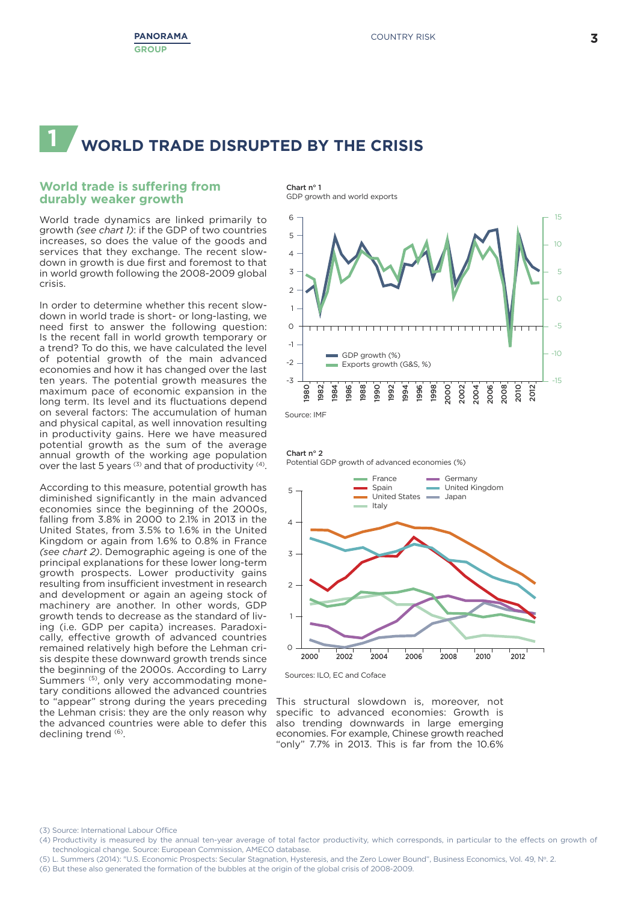# **1 WORLD TRADE DISRUPTED BY THE CRISIS**

### **World trade is suffering from durably weaker growth**

World trade dynamics are linked primarily to growth *(see chart 1)*: if the GDP of two countries increases, so does the value of the goods and services that they exchange. The recent slowdown in growth is due first and foremost to that in world growth following the 2008-2009 global crisis.

In order to determine whether this recent slowdown in world trade is short- or long-lasting, we need first to answer the following question: Is the recent fall in world growth temporary or a trend? To do this, we have calculated the level of potential growth of the main advanced economies and how it has changed over the last ten years. The potential growth measures the maximum pace of economic expansion in the long term. Its level and its fluctuations depend on several factors: The accumulation of human and physical capital, as well innovation resulting in productivity gains. Here we have measured potential growth as the sum of the average annual growth of the working age population over the last 5 years  $(3)$  and that of productivity  $(4)$ .

According to this measure, potential growth has diminished significantly in the main advanced economies since the beginning of the 2000s, falling from 3.8% in 2000 to 2.1% in 2013 in the United States, from 3.5% to 1.6% in the United Kingdom or again from 1.6% to 0.8% in France *(see chart 2)*. Demographic ageing is one of the principal explanations for these lower long-term growth prospects. Lower productivity gains resulting from insufficient investment in research and development or again an ageing stock of machinery are another. In other words, GDP growth tends to decrease as the standard of living (i.e. GDP per capita) increases. Paradoxically, effective growth of advanced countries remained relatively high before the Lehman crisis despite these downward growth trends since the beginning of the 2000s. According to Larry Summers<sup>(5)</sup>, only very accommodating monetary conditions allowed the advanced countries to "appear" strong during the years preceding the Lehman crisis: they are the only reason why the advanced countries were able to defer this declining trend (6).

**Chart n° 1** GDP growth and world exports



Source: IMF

**Chart n° 2** Potential GDP growth of advanced economies (%)



This structural slowdown is, moreover, not specific to advanced economies: Growth is also trending downwards in large emerging economies. For example, Chinese growth reached "only" 7.7% in 2013. This is far from the 10.6%

(3) Source: International Labour Office

(5) L. Summers (2014): "U.S. Economic Prospects: Secular Stagnation, Hysteresis, and the Zero Lower Bound", Business Economics, Vol. 49, N°. 2.

<sup>(4)</sup> Productivity is measured by the annual ten-year average of total factor productivity, which corresponds, in particular to the effects on growth of technological change. Source: European Commission, AMECO database.

<sup>(6)</sup> But these also generated the formation of the bubbles at the origin of the global crisis of 2008-2009.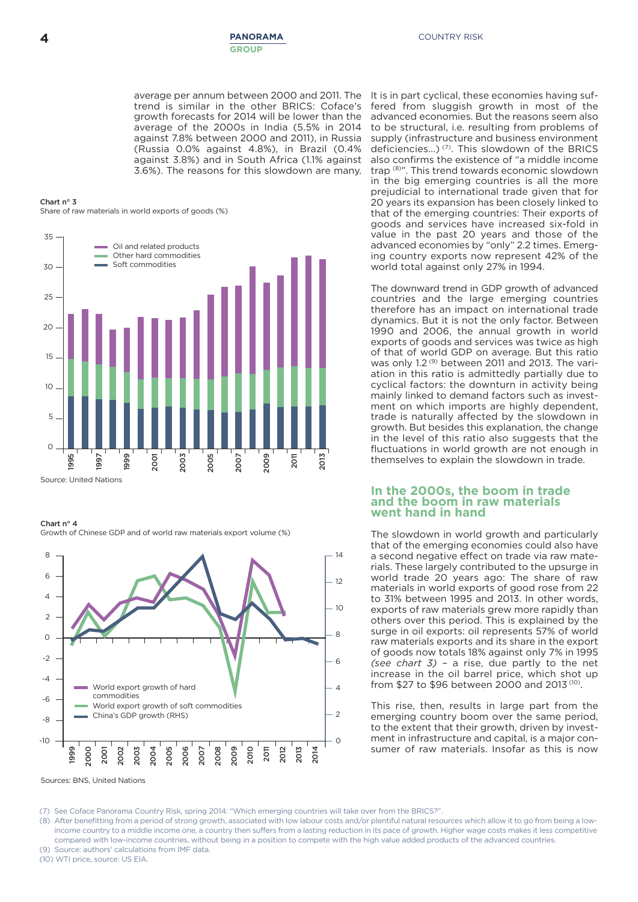average per annum between 2000 and 2011. The trend is similar in the other BRICS: Coface's growth forecasts for 2014 will be lower than the average of the 2000s in India (5.5% in 2014 against 7.8% between 2000 and 2011), in Russia (Russia 0.0% against 4.8%), in Brazil (0.4% against 3.8%) and in South Africa (1.1% against 3.6%). The reasons for this slowdown are many.

#### **Chart n° 3** Share of raw materials in world exports of goods (%)



**Chart n° 4**

Growth of Chinese GDP and of world raw materials export volume (%)



It is in part cyclical, these economies having suffered from sluggish growth in most of the advanced economies. But the reasons seem also to be structural, i.e. resulting from problems of supply (infrastructure and business environment deficiencies...)<sup>(7)</sup>. This slowdown of the BRICS also confirms the existence of "a middle income trap (8) ". This trend towards economic slowdown in the big emerging countries is all the more prejudicial to international trade given that for 20 years its expansion has been closely linked to that of the emerging countries: Their exports of goods and services have increased six-fold in value in the past 20 years and those of the advanced economies by "only" 2.2 times. Emerging country exports now represent 42% of the world total against only 27% in 1994.

The downward trend in GDP growth of advanced countries and the large emerging countries therefore has an impact on international trade dynamics. But it is not the only factor. Between 1990 and 2006, the annual growth in world exports of goods and services was twice as high of that of world GDP on average. But this ratio was only 1.2<sup>(9)</sup> between 2011 and 2013. The variation in this ratio is admittedly partially due to cyclical factors: the downturn in activity being mainly linked to demand factors such as investment on which imports are highly dependent. trade is naturally affected by the slowdown in growth. But besides this explanation, the change in the level of this ratio also suggests that the fluctuations in world growth are not enough in themselves to explain the slowdown in trade.

#### **In the 2000s, the boom in trade and the boom in raw materials went hand in hand**

The slowdown in world growth and particularly that of the emerging economies could also have a second negative effect on trade via raw materials. These largely contributed to the upsurge in world trade 20 years ago: The share of raw materials in world exports of good rose from 22 to 31% between 1995 and 2013. In other words, exports of raw materials grew more rapidly than others over this period. This is explained by the surge in oil exports: oil represents 57% of world raw materials exports and its share in the export of goods now totals 18% against only 7% in 1995 *(see chart 3)* – a rise, due partly to the net increase in the oil barrel price, which shot up from \$27 to \$96 between 2000 and 2013<sup>(10)</sup>.

This rise, then, results in large part from the emerging country boom over the same period, to the extent that their growth, driven by investment in infrastructure and capital, is a major consumer of raw materials. Insofar as this is now

(7) See Coface Panorama Country Risk, spring 2014: "Which emerging countries will take over from the BRICS?".

(8) After benefitting from a period of strong growth, associated with low labour costs and/or plentiful natural resources which allow it to go from being a lowincome country to a middle income one, a country then suffers from a lasting reduction in its pace of growth. Higher wage costs makes it less competitive compared with low-income countries, without being in a position to compete with the high value added products of the advanced countries. (9) Source: authors' calculations from IMF data.

(10) WTI price, source: US EIA.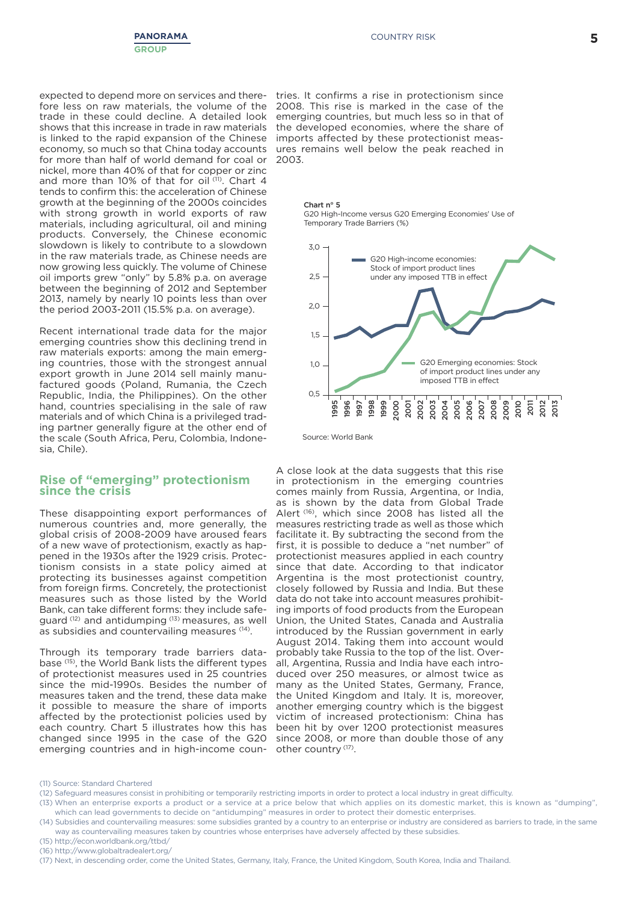expected to depend more on services and therefore less on raw materials, the volume of the trade in these could decline. A detailed look shows that this increase in trade in raw materials is linked to the rapid expansion of the Chinese economy, so much so that China today accounts for more than half of world demand for coal or nickel, more than 40% of that for copper or zinc and more than 10% of that for oil<sup>(11)</sup>. Chart 4 tends to confirm this: the acceleration of Chinese growth at the beginning of the 2000s coincides with strong growth in world exports of raw materials, including agricultural, oil and mining products. Conversely, the Chinese economic slowdown is likely to contribute to a slowdown in the raw materials trade, as Chinese needs are now growing less quickly. The volume of Chinese oil imports grew "only" by 5.8% p.a. on average between the beginning of 2012 and September 2013, namely by nearly 10 points less than over the period 2003-2011 (15.5% p.a. on average).

Recent international trade data for the major emerging countries show this declining trend in raw materials exports: among the main emerging countries, those with the strongest annual export growth in June 2014 sell mainly manufactured goods (Poland, Rumania, the Czech Republic, India, the Philippines). On the other hand, countries specialising in the sale of raw materials and of which China is a privileged trading partner generally figure at the other end of the scale (South Africa, Peru, Colombia, Indonesia, Chile).

### **Rise of "emerging" protectionism since the crisis**

These disappointing export performances of numerous countries and, more generally, the global crisis of 2008-2009 have aroused fears of a new wave of protectionism, exactly as happened in the 1930s after the 1929 crisis. Protectionism consists in a state policy aimed at protecting its businesses against competition from foreign firms. Concretely, the protectionist measures such as those listed by the World Bank, can take different forms: they include safeguard (12) and antidumping (13) measures, as well as subsidies and countervailing measures (14).

Through its temporary trade barriers database (15), the World Bank lists the different types of protectionist measures used in 25 countries since the mid-1990s. Besides the number of measures taken and the trend, these data make it possible to measure the share of imports affected by the protectionist policies used by each country. Chart 5 illustrates how this has changed since 1995 in the case of the G20 emerging countries and in high-income coun-

tries. It confirms a rise in protectionism since 2008. This rise is marked in the case of the emerging countries, but much less so in that of the developed economies, where the share of imports affected by these protectionist measures remains well below the peak reached in 2003.





Source: World Bank

A close look at the data suggests that this rise in protectionism in the emerging countries comes mainly from Russia, Argentina, or India, as is shown by the data from Global Trade Alert<sup>(16)</sup>, which since 2008 has listed all the measures restricting trade as well as those which facilitate it. By subtracting the second from the first, it is possible to deduce a "net number" of protectionist measures applied in each country since that date. According to that indicator Argentina is the most protectionist country, closely followed by Russia and India. But these data do not take into account measures prohibiting imports of food products from the European Union, the United States, Canada and Australia introduced by the Russian government in early August 2014. Taking them into account would probably take Russia to the top of the list. Overall, Argentina, Russia and India have each introduced over 250 measures, or almost twice as many as the United States, Germany, France, the United Kingdom and Italy. It is, moreover, another emerging country which is the biggest victim of increased protectionism: China has been hit by over 1200 protectionist measures since 2008, or more than double those of any other country<sup>(17)</sup>.

- (15) <http://econ.worldbank.org/ttbd/>
- (16) <http://www.globaltradealert.org/>

<sup>(11)</sup> Source: Standard Chartered

<sup>(12)</sup> Safeguard measures consist in prohibiting or temporarily restricting imports in order to protect a local industry in great difficulty.

<sup>(13)</sup> When an enterprise exports a product or a service at a price below that which applies on its domestic market, this is known as "dumping", which can lead governments to decide on "antidumping" measures in order to protect their domestic enterprises.

<sup>(14)</sup> Subsidies and countervailing measures: some subsidies granted by a country to an enterprise or industry are considered as barriers to trade, in the same way as countervailing measures taken by countries whose enterprises have adversely affected by these subsidies.

<sup>(17)</sup> Next, in descending order, come the United States, Germany, Italy, France, the United Kingdom, South Korea, India and Thailand.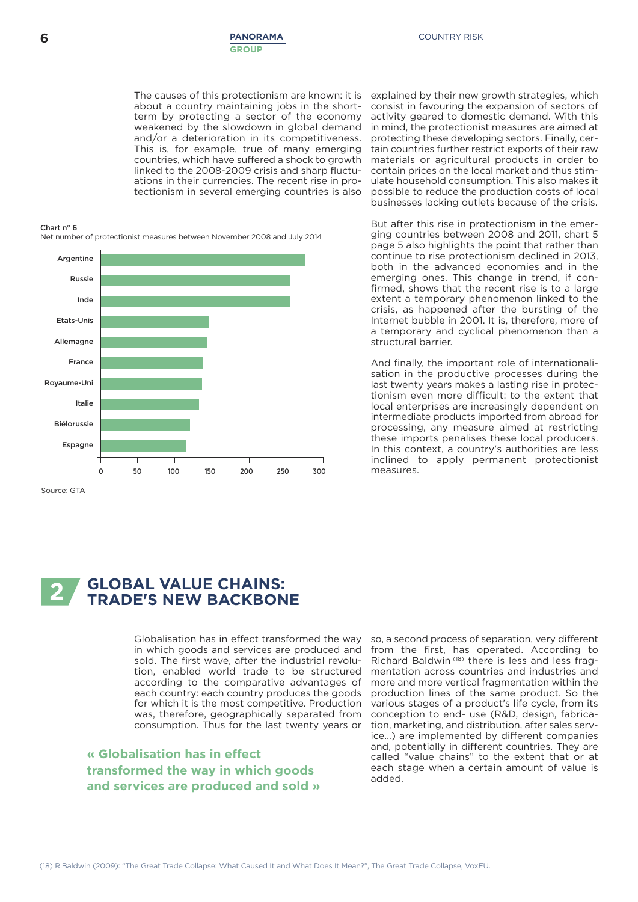The causes of this protectionism are known: it is about a country maintaining jobs in the shortterm by protecting a sector of the economy weakened by the slowdown in global demand and/or a deterioration in its competitiveness. This is, for example, true of many emerging countries, which have suffered a shock to growth linked to the 2008-2009 crisis and sharp fluctuations in their currencies. The recent rise in protectionism in several emerging countries is also

#### **Chart n° 6**

Net number of protectionist measures between November 2008 and July 2014



Source: GTA

explained by their new growth strategies, which consist in favouring the expansion of sectors of activity geared to domestic demand. With this in mind, the protectionist measures are aimed at protecting these developing sectors. Finally, certain countries further restrict exports of their raw materials or agricultural products in order to contain prices on the local market and thus stimulate household consumption. This also makes it possible to reduce the production costs of local businesses lacking outlets because of the crisis.

But after this rise in protectionism in the emerging countries between 2008 and 2011, chart 5 page 5 also highlights the point that rather than continue to rise protectionism declined in 2013, both in the advanced economies and in the emerging ones. This change in trend, if confirmed, shows that the recent rise is to a large extent a temporary phenomenon linked to the crisis, as happened after the bursting of the Internet bubble in 2001. It is, therefore, more of a temporary and cyclical phenomenon than a structural barrier.

And finally, the important role of internationalisation in the productive processes during the last twenty years makes a lasting rise in protectionism even more difficult: to the extent that local enterprises are increasingly dependent on intermediate products imported from abroad for processing, any measure aimed at restricting these imports penalises these local producers. In this context, a country's authorities are less inclined to apply permanent protectionist measures.

#### **2 GLOBAL VALUE CHAINS: TRADE'S NEW BACKBONE**

Globalisation has in effect transformed the way in which goods and services are produced and sold. The first wave, after the industrial revolution, enabled world trade to be structured according to the comparative advantages of each country: each country produces the goods for which it is the most competitive. Production was, therefore, geographically separated from consumption. Thus for the last twenty years or

**« Globalisation has in effect transformed the way in which goods and services are produced and sold »** so, a second process of separation, very different from the first, has operated. According to Richard Baldwin (18) there is less and less fragmentation across countries and industries and more and more vertical fragmentation within the production lines of the same product. So the various stages of a product's life cycle, from its conception to end- use (R&D, design, fabrication, marketing, and distribution, after sales service…) are implemented by different companies and, potentially in different countries. They are called "value chains" to the extent that or at each stage when a certain amount of value is added.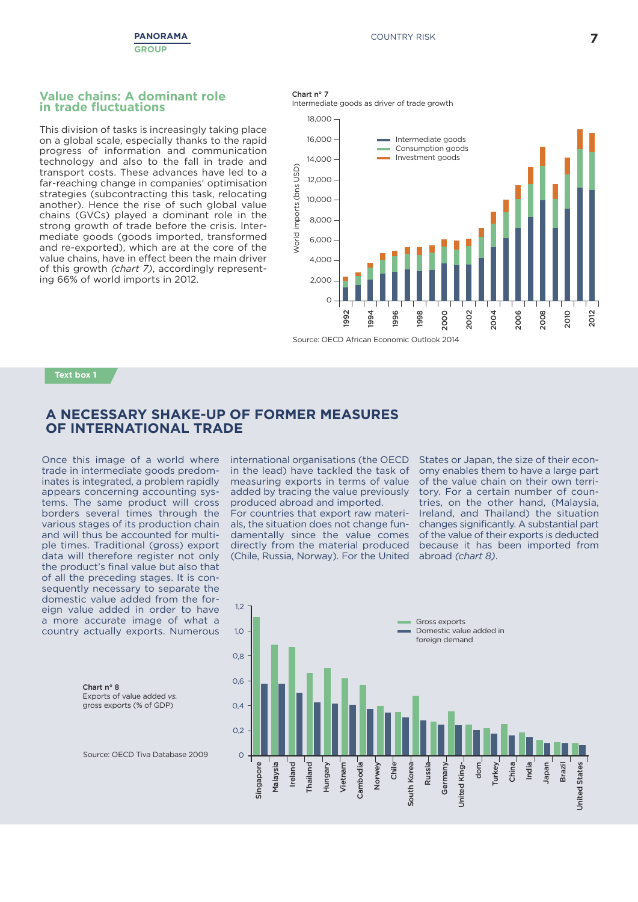#### **Value chains: A dominant role in trade fluctuations**

This division of tasks is increasingly taking place on a global scale, especially thanks to the rapid progress of information and communication technology and also to the fall in trade and transport costs. These advances have led to a far-reaching change in companies' optimisation strategies (subcontracting this task, relocating another). Hence the rise of such global value chains (GVCs) played a dominant role in the strong growth of trade before the crisis. Intermediate goods (goods imported, transformed and re-exported), which are at the core of the value chains, have in effect been the main driver of this growth *(chart 7)*, accordingly representing 66% of world imports in 2012.





#### **Text box 1**

### **A NECESSARY SHAKE-UP OF FORMER MEASURES OF INTERNATIONAL TRADE**

Once this image of a world where trade in intermediate goods predominates is integrated, a problem rapidly appears concerning accounting systems. The same product will cross borders several times through the various stages of its production chain and will thus be accounted for multiple times. Traditional (gross) export data will therefore register not only the product's final value but also that of all the preceding stages. It is consequently necessary to separate the domestic value added from the foreign value added in order to have a more accurate image of what a country actually exports. Numerous

international organisations (the OECD in the lead) have tackled the task of measuring exports in terms of value added by tracing the value previously produced abroad and imported.

For countries that export raw materials, the situation does not change fundamentally since the value comes directly from the material produced (Chile, Russia, Norway). For the United States or Japan, the size of their economy enables them to have a large part of the value chain on their own territory. For a certain number of countries, on the other hand, (Malaysia, Ireland, and Thailand) the situation changes significantly. A substantial part of the value of their exports is deducted because it has been imported from abroad *(chart 8)*.



Source: OECD Tiva Database 2009

Exports of value added *vs.* gross exports (% of GDP)

**Chart n° 8**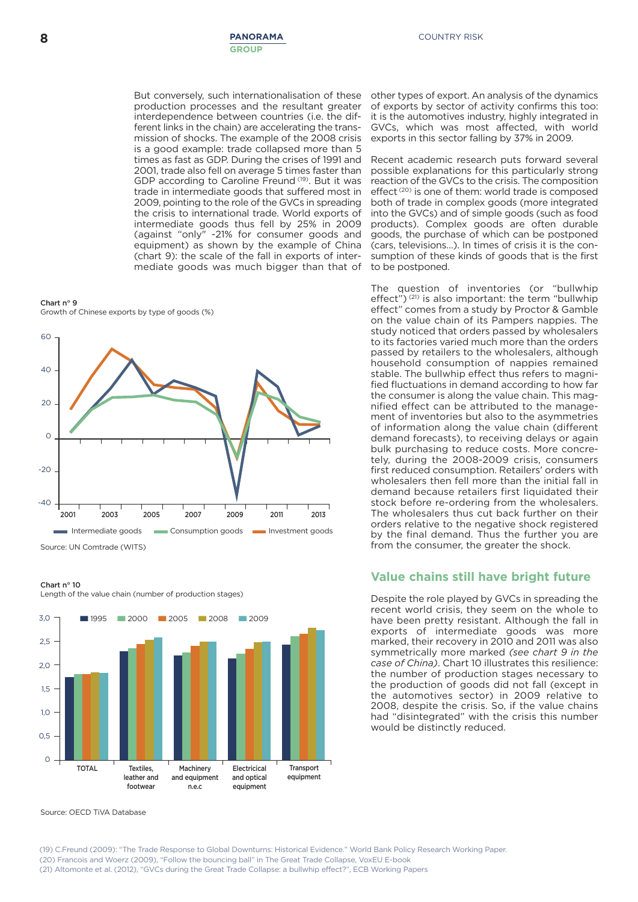But conversely, such internationalisation of these production processes and the resultant greater interdependence between countries (i.e. the different links in the chain) are accelerating the transmission of shocks. The example of the 2008 crisis is a good example: trade collapsed more than 5 times as fast as GDP. During the crises of 1991 and 2001, trade also fell on average 5 times faster than GDP according to Caroline Freund (19). But it was trade in intermediate goods that suffered most in 2009, pointing to the role of the GVCs in spreading the crisis to international trade. World exports of intermediate goods thus fell by 25% in 2009 (against "only" -21% for consumer goods and equipment) as shown by the example of China (chart 9): the scale of the fall in exports of intermediate goods was much bigger than that of





**Chart n° 10**

3,0 2,5  $20$ 1,5  $1<sub>0</sub>$ 0,5  $\Omega$ **TOTAL Textiles, leather and footwear Machinery and equipment n.e.c Electricical and optical equipment Transport equipment ■** <sup>1995</sup> **■** <sup>2000</sup> **■** <sup>2005</sup> **■** <sup>2008</sup> **■** <sup>2009</sup>

Length of the value chain (number of production stages)

Source: OECD TiVA Database

other types of export. An analysis of the dynamics of exports by sector of activity confirms this too: it is the automotives industry, highly integrated in GVCs, which was most affected, with world exports in this sector falling by 37% in 2009.

Recent academic research puts forward several possible explanations for this particularly strong reaction of the GVCs to the crisis. The composition effect<sup>(20)</sup> is one of them: world trade is composed both of trade in complex goods (more integrated into the GVCs) and of simple goods (such as food products). Complex goods are often durable goods, the purchase of which can be postponed (cars, televisions…). In times of crisis it is the consumption of these kinds of goods that is the first to be postponed.

The question of inventories (or "bullwhip effect")<sup>(21)</sup> is also important: the term "bullwhip effect" comes from a study by Proctor & Gamble on the value chain of its Pampers nappies. The study noticed that orders passed by wholesalers to its factories varied much more than the orders passed by retailers to the wholesalers, although household consumption of nappies remained stable. The bullwhip effect thus refers to magnified fluctuations in demand according to how far the consumer is along the value chain. This magnified effect can be attributed to the management of inventories but also to the asymmetries of information along the value chain (different demand forecasts), to receiving delays or again bulk purchasing to reduce costs. More concretely, during the 2008-2009 crisis, consumers first reduced consumption. Retailers' orders with wholesalers then fell more than the initial fall in demand because retailers first liquidated their stock before re-ordering from the wholesalers. The wholesalers thus cut back further on their orders relative to the negative shock registered by the final demand. Thus the further you are from the consumer, the greater the shock.

#### **Value chains still have bright future**

Despite the role played by GVCs in spreading the recent world crisis, they seem on the whole to have been pretty resistant. Although the fall in exports of intermediate goods was more marked, their recovery in 2010 and 2011 was also symmetrically more marked *(see chart 9 in the case of China)*. Chart 10 illustrates this resilience: the number of production stages necessary to the production of goods did not fall (except in the automotives sector) in 2009 relative to 2008, despite the crisis. So, if the value chains had "disintegrated" with the crisis this number would be distinctly reduced.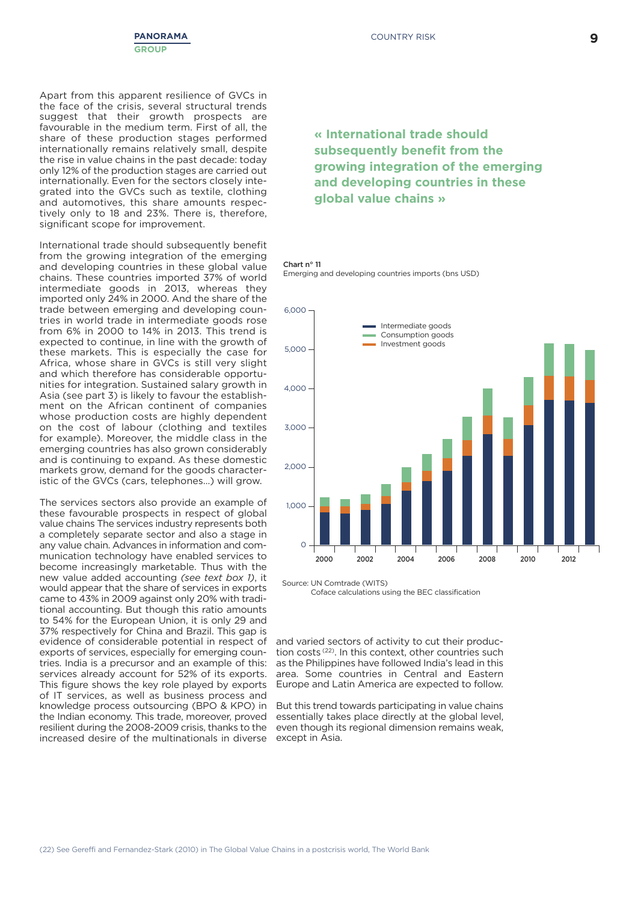

Apart from this apparent resilience of GVCs in the face of the crisis, several structural trends suggest that their growth prospects are favourable in the medium term. First of all, the share of these production stages performed internationally remains relatively small, despite the rise in value chains in the past decade: today only 12% of the production stages are carried out internationally. Even for the sectors closely integrated into the GVCs such as textile, clothing and automotives, this share amounts respectively only to 18 and 23%. There is, therefore, significant scope for improvement.

International trade should subsequently benefit from the growing integration of the emerging and developing countries in these global value chains. These countries imported 37% of world intermediate goods in 2013, whereas they imported only 24% in 2000. And the share of the trade between emerging and developing countries in world trade in intermediate goods rose from 6% in 2000 to 14% in 2013. This trend is expected to continue, in line with the growth of these markets. This is especially the case for Africa, whose share in GVCs is still very slight and which therefore has considerable opportunities for integration. Sustained salary growth in Asia (see part 3) is likely to favour the establishment on the African continent of companies whose production costs are highly dependent on the cost of labour (clothing and textiles for example). Moreover, the middle class in the emerging countries has also grown considerably and is continuing to expand. As these domestic markets grow, demand for the goods characteristic of the GVCs (cars, telephones…) will grow.

The services sectors also provide an example of these favourable prospects in respect of global value chains The services industry represents both a completely separate sector and also a stage in any value chain. Advances in information and communication technology have enabled services to become increasingly marketable. Thus with the new value added accounting *(see text box 1)*, it would appear that the share of services in exports came to 43% in 2009 against only 20% with traditional accounting. But though this ratio amounts to 54% for the European Union, it is only 29 and 37% respectively for China and Brazil. This gap is evidence of considerable potential in respect of exports of services, especially for emerging countries. India is a precursor and an example of this: services already account for 52% of its exports. This figure shows the key role played by exports of IT services, as well as business process and knowledge process outsourcing (BPO & KPO) in the Indian economy. This trade, moreover, proved resilient during the 2008-2009 crisis, thanks to the increased desire of the multinationals in diverse

### **« International trade should subsequently benefit from the growing integration of the emerging and developing countries in these global value chains »**

#### **Chart n° 11** Emerging and developing countries imports (bns USD)



Source: UN Comtrade (WITS) Coface calculations using the BEC classification

and varied sectors of activity to cut their production costs<sup>(22)</sup>. In this context, other countries such as the Philippines have followed India's lead in this area. Some countries in Central and Eastern Europe and Latin America are expected to follow.

But this trend towards participating in value chains essentially takes place directly at the global level, even though its regional dimension remains weak, except in Asia.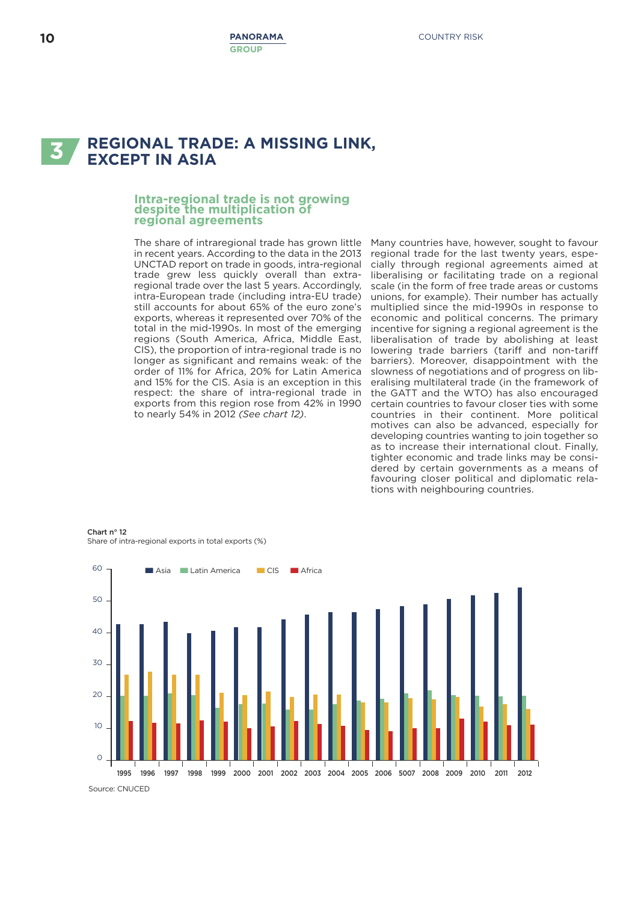# **REGIONAL TRADE: <sup>A</sup> MISSING LINK, 3 EXCEPT IN ASIA**

## **Intra-regional trade is not growing despite the multiplication of regional agreements**

The share of intraregional trade has grown little in recent years. According to the data in the 2013 UNCTAD report on trade in goods, intra-regional trade grew less quickly overall than extraregional trade over the last 5 years. Accordingly, intra-European trade (including intra-EU trade) still accounts for about 65% of the euro zone's exports, whereas it represented over 70% of the total in the mid-1990s. In most of the emerging regions (South America, Africa, Middle East, CIS), the proportion of intra-regional trade is no longer as significant and remains weak: of the order of 11% for Africa, 20% for Latin America and 15% for the CIS. Asia is an exception in this respect: the share of intra-regional trade in exports from this region rose from 42% in 1990 to nearly 54% in 2012 *(See chart 12)*.

Many countries have, however, sought to favour regional trade for the last twenty years, especially through regional agreements aimed at liberalising or facilitating trade on a regional scale (in the form of free trade areas or customs unions, for example). Their number has actually multiplied since the mid-1990s in response to economic and political concerns. The primary incentive for signing a regional agreement is the liberalisation of trade by abolishing at least lowering trade barriers (tariff and non-tariff barriers). Moreover, disappointment with the slowness of negotiations and of progress on liberalising multilateral trade (in the framework of the GATT and the WTO) has also encouraged certain countries to favour closer ties with some countries in their continent. More political motives can also be advanced, especially for developing countries wanting to join together so as to increase their international clout. Finally, tighter economic and trade links may be considered by certain governments as a means of favouring closer political and diplomatic relations with neighbouring countries.

**Chart n° 12** Share of intra-regional exports in total exports (%)



Source: CNUCED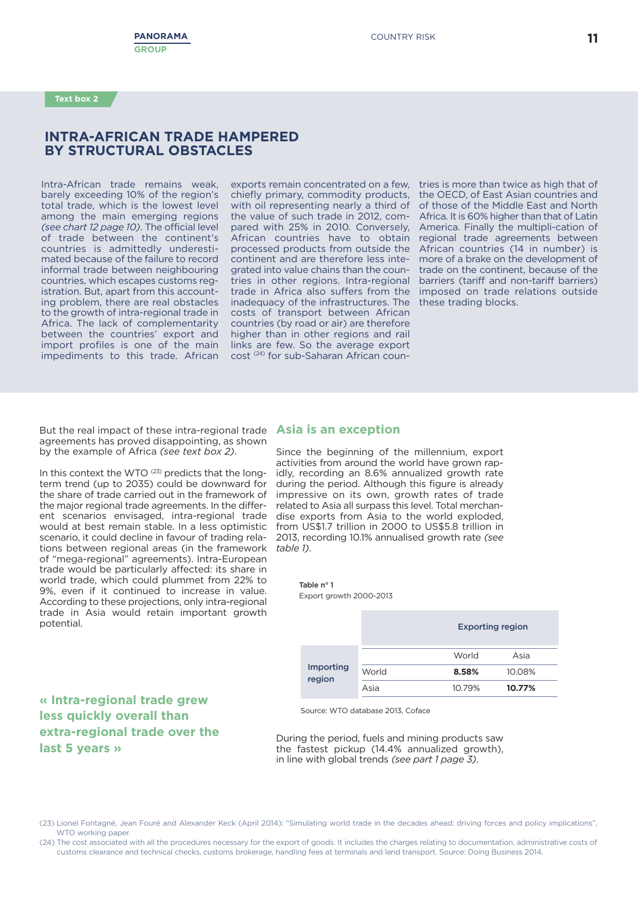### **INTRA-AFRICAN TRADE HAMPERED BY STRUCTURAL OBSTACLES**

Intra-African trade remains weak, barely exceeding 10% of the region's total trade, which is the lowest level among the main emerging regions *(see chart 12 page 10)*. The official level of trade between the continent's countries is admittedly underestimated because of the failure to record informal trade between neighbouring countries, which escapes customs registration. But, apart from this accounting problem, there are real obstacles to the growth of intra-regional trade in Africa. The lack of complementarity between the countries' export and import profiles is one of the main impediments to this trade. African

exports remain concentrated on a few. tries is more than twice as high that of chiefly primary, commodity products, with oil representing nearly a third of the value of such trade in 2012, compared with 25% in 2010. Conversely, African countries have to obtain processed products from outside the continent and are therefore less integrated into value chains than the countries in other regions. Intra-regional trade in Africa also suffers from the imposed on trade relations outside inadequacy of the infrastructures. The these trading blocks. costs of transport between African countries (by road or air) are therefore higher than in other regions and rail links are few. So the average export cost (24) for sub-Saharan African coun-

the OECD, of East Asian countries and of those of the Middle East and North Africa. It is 60% higher than that of Latin America. Finally the multipli-cation of regional trade agreements between African countries (14 in number) is more of a brake on the development of trade on the continent, because of the barriers (tariff and non-tariff barriers)

But the real impact of these intra-regional trade **Asia is an exception** agreements has proved disappointing, as shown by the example of Africa *(see text box 2)*.

In this context the WTO <sup>(23)</sup> predicts that the longterm trend (up to 2035) could be downward for the share of trade carried out in the framework of the major regional trade agreements. In the different scenarios envisaged, intra-regional trade would at best remain stable. In a less optimistic scenario, it could decline in favour of trading relations between regional areas (in the framework of "mega-regional" agreements). Intra-European trade would be particularly affected: its share in world trade, which could plummet from 22% to 9%, even if it continued to increase in value. According to these projections, only intra-regional trade in Asia would retain important growth potential.

Since the beginning of the millennium, export activities from around the world have grown rapidly, recording an 8.6% annualized growth rate during the period. Although this figure is already impressive on its own, growth rates of trade related to Asia all surpass this level. Total merchandise exports from Asia to the world exploded, from US\$1.7 trillion in 2000 to US\$5.8 trillion in 2013, recording 10.1% annualised growth rate *(see table 1)*.

> **Table n° 1** Export growth 2000-2013

|                            |       | <b>Exporting region</b> |        |  |  |
|----------------------------|-------|-------------------------|--------|--|--|
| <b>Importing</b><br>region |       | World                   | Asia   |  |  |
|                            | World | 8.58%                   | 10.08% |  |  |
|                            | Asia  | 10.79%                  | 10.77% |  |  |

Source: WTO database 2013, Coface

During the period, fuels and mining products saw the fastest pickup (14.4% annualized growth), in line with global trends *(see part 1 page 3)*.

#### (23) Lionel Fontagné, Jean Fouré and Alexander Keck (April 2014): "Simulating world trade in the decades ahead: driving forces and policy implications", WTO working paper.

(24) The cost associated with all the procedures necessary for the export of goods. It includes the charges relating to documentation, administrative costs of customs clearance and technical checks, customs brokerage, handling fees at terminals and land transport. Source: Doing Business 2014.

### **« Intra-regional trade grew less quickly overall than extra-regional trade over the last 5 years »**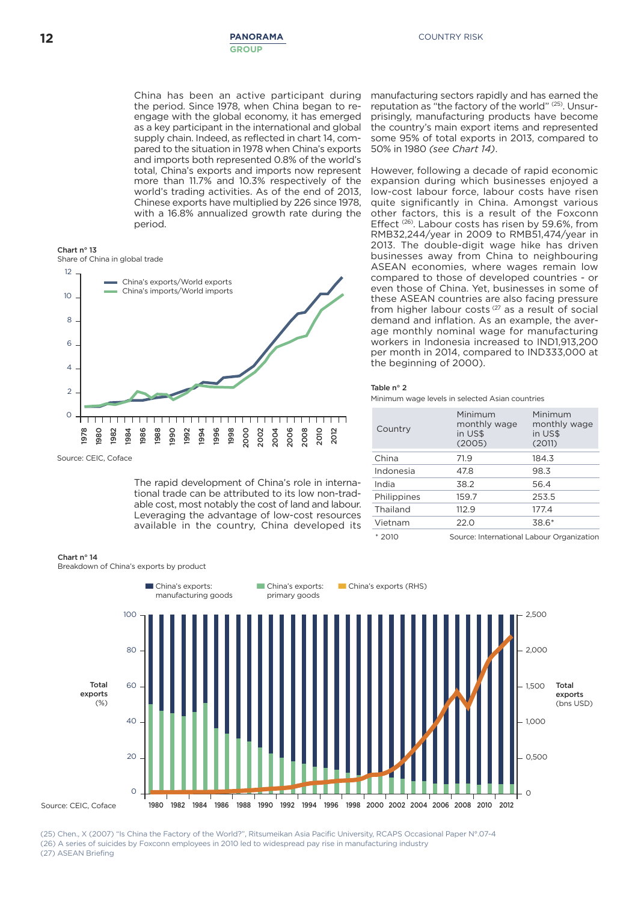China has been an active participant during the period. Since 1978, when China began to reengage with the global economy, it has emerged as a key participant in the international and global supply chain. Indeed, as reflected in chart 14, compared to the situation in 1978 when China's exports and imports both represented 0.8% of the world's total, China's exports and imports now represent more than 11.7% and 10.3% respectively of the world's trading activities. As of the end of 2013, Chinese exports have multiplied by 226 since 1978, with a 16.8% annualized growth rate during the period.





Source: CEIC, Coface

The rapid development of China's role in international trade can be attributed to its low non-tradable cost, most notably the cost of land and labour. Leveraging the advantage of low-cost resources available in the country, China developed its

#### **Chart n° 14**

Breakdown of China's exports by product

manufacturing sectors rapidly and has earned the reputation as "the factory of the world" (25) . Unsurprisingly, manufacturing products have become the country's main export items and represented some 95% of total exports in 2013, compared to 50% in 1980 *(see Chart 14)*.

However, following a decade of rapid economic expansion during which businesses enjoyed a low-cost labour force, labour costs have risen quite significantly in China. Amongst various other factors, this is a result of the Foxconn Effect<sup>(26)</sup>. Labour costs has risen by 59.6%, from RMB32,244/year in 2009 to RMB51,474/year in 2013. The double-digit wage hike has driven businesses away from China to neighbouring ASEAN economies, where wages remain low compared to those of developed countries - or even those of China. Yet, businesses in some of these ASEAN countries are also facing pressure from higher labour costs<sup>(27</sup> as a result of social demand and inflation. As an example, the average monthly nominal wage for manufacturing workers in Indonesia increased to IND1,913,200 per month in 2014, compared to IND333,000 at the beginning of 2000).

#### **Table n° 2**

Minimum wage levels in selected Asian countries

| Country     | Minimum<br>monthly wage<br>in US\$<br>(2005) | Minimum<br>monthly wage<br>in US\$<br>(2011) |
|-------------|----------------------------------------------|----------------------------------------------|
| China       | 71.9                                         | 184.3                                        |
| Indonesia   | 47.8                                         | 98.3                                         |
| India       | 38.2                                         | 56.4                                         |
| Philippines | 159.7                                        | 253.5                                        |
| Thailand    | 112.9                                        | 177.4                                        |
| Vietnam     | 22.0                                         | 38.6*                                        |
| $*2010$     | Source: International Labour Organization    |                                              |

Source: International Labour Organization



(25) Chen., X (2007) "Is China the Factory of the World?", Ritsumeikan Asia Pacific University, RCAPS Occasional Paper N°.07-4 (26) A series of suicides by Foxconn employees in 2010 led to widespread pay rise in manufacturing industry (27) ASEAN Briefing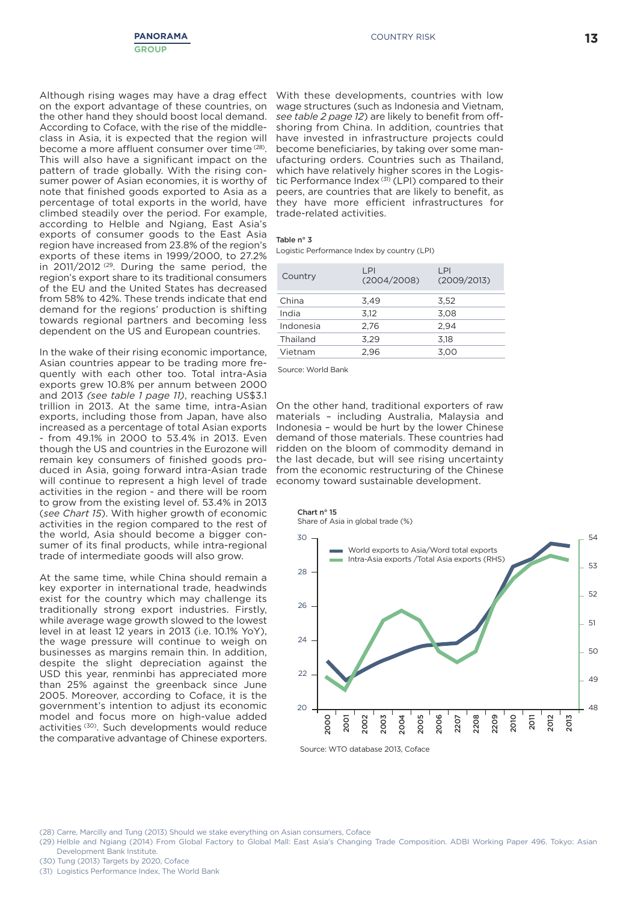

Although rising wages may have a drag effect on the export advantage of these countries, on the other hand they should boost local demand. According to Coface, with the rise of the middleclass in Asia, it is expected that the region will become a more affluent consumer over time (28). This will also have a significant impact on the pattern of trade globally. With the rising consumer power of Asian economies, it is worthy of note that finished goods exported to Asia as a percentage of total exports in the world, have climbed steadily over the period. For example, according to Helble and Ngiang, East Asia's exports of consumer goods to the East Asia region have increased from 23.8% of the region's exports of these items in 1999/2000, to 27.2% in 2011/2012 (29. During the same period, the region's export share to its traditional consumers of the EU and the United States has decreased from 58% to 42%. These trends indicate that end demand for the regions' production is shifting towards regional partners and becoming less dependent on the US and European countries.

In the wake of their rising economic importance, Asian countries appear to be trading more frequently with each other too. Total intra-Asia exports grew 10.8% per annum between 2000 and 2013 *(see table 1 page 11)*, reaching US\$3.1 trillion in 2013. At the same time, intra-Asian exports, including those from Japan, have also increased as a percentage of total Asian exports - from 49.1% in 2000 to 53.4% in 2013. Even though the US and countries in the Eurozone will remain key consumers of finished goods produced in Asia, going forward intra-Asian trade will continue to represent a high level of trade activities in the region - and there will be room to grow from the existing level of. 53.4% in 2013 (*see Chart 15*). With higher growth of economic activities in the region compared to the rest of the world, Asia should become a bigger consumer of its final products, while intra-regional trade of intermediate goods will also grow.

At the same time, while China should remain a key exporter in international trade, headwinds exist for the country which may challenge its traditionally strong export industries. Firstly, while average wage growth slowed to the lowest level in at least 12 years in 2013 (i.e. 10.1% YoY), the wage pressure will continue to weigh on businesses as margins remain thin. In addition, despite the slight depreciation against the USD this year, renminbi has appreciated more than 25% against the greenback since June 2005. Moreover, according to Coface, it is the government's intention to adjust its economic model and focus more on high-value added activities (30) . Such developments would reduce the comparative advantage of Chinese exporters.

With these developments, countries with low wage structures (such as Indonesia and Vietnam, *see table 2 page 12*) are likely to benefit from offshoring from China. In addition, countries that have invested in infrastructure projects could become beneficiaries, by taking over some manufacturing orders. Countries such as Thailand, which have relatively higher scores in the Logistic Performance Index<sup>(31)</sup> (LPI) compared to their peers, are countries that are likely to benefit, as they have more efficient infrastructures for trade-related activities.

#### **Table n° 3**

Logistic Performance Index by country (LPI)

| Country   | LPI<br>(2004/2008) | LPI<br>(2009/2013) |
|-----------|--------------------|--------------------|
| China     | 3,49               | 3.52               |
| India     | 3,12               | 3,08               |
| Indonesia | 2.76               | 2.94               |
| Thailand  | 3.29               | 3.18               |
| Vietnam   | 2,96               | 3,00               |
|           |                    |                    |

Source: World Bank

On the other hand, traditional exporters of raw materials – including Australia, Malaysia and Indonesia – would be hurt by the lower Chinese demand of those materials. These countries had ridden on the bloom of commodity demand in the last decade, but will see rising uncertainty from the economic restructuring of the Chinese economy toward sustainable development.



Share of Asia in global trade (%)



Source: WTO database 2013, Coface

(28) Carre, Marcilly and Tung (2013) Should we stake everything on Asian consumers, Coface

(29) Helble and Ngiang (2014) From Global Factory to Global Mall: East Asia's Changing Trade Composition. ADBI Working Paper 496. Tokyo: Asian Development Bank Institute.

(30) Tung (2013) Targets by 2020, Coface

(31) Logistics Performance Index, The World Bank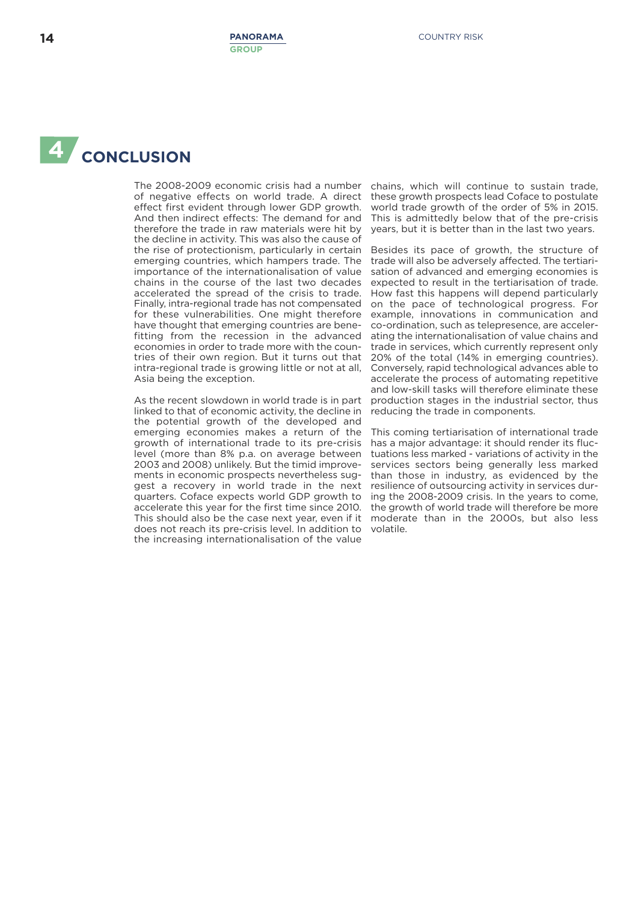# **4 CONCLUSION**

The 2008-2009 economic crisis had a number of negative effects on world trade. A direct effect first evident through lower GDP growth. And then indirect effects: The demand for and therefore the trade in raw materials were hit by the decline in activity. This was also the cause of the rise of protectionism, particularly in certain emerging countries, which hampers trade. The importance of the internationalisation of value chains in the course of the last two decades accelerated the spread of the crisis to trade. Finally, intra-regional trade has not compensated for these vulnerabilities. One might therefore have thought that emerging countries are benefitting from the recession in the advanced economies in order to trade more with the countries of their own region. But it turns out that intra-regional trade is growing little or not at all, Asia being the exception.

As the recent slowdown in world trade is in part linked to that of economic activity, the decline in the potential growth of the developed and emerging economies makes a return of the growth of international trade to its pre-crisis level (more than 8% p.a. on average between 2003 and 2008) unlikely. But the timid improvements in economic prospects nevertheless suggest a recovery in world trade in the next quarters. Coface expects world GDP growth to accelerate this year for the first time since 2010. This should also be the case next year, even if it does not reach its pre-crisis level. In addition to the increasing internationalisation of the value

chains, which will continue to sustain trade, these growth prospects lead Coface to postulate world trade growth of the order of 5% in 2015. This is admittedly below that of the pre-crisis years, but it is better than in the last two years.

Besides its pace of growth, the structure of trade will also be adversely affected. The tertiarisation of advanced and emerging economies is expected to result in the tertiarisation of trade. How fast this happens will depend particularly on the pace of technological progress. For example, innovations in communication and co-ordination, such as telepresence, are accelerating the internationalisation of value chains and trade in services, which currently represent only 20% of the total (14% in emerging countries). Conversely, rapid technological advances able to accelerate the process of automating repetitive and low-skill tasks will therefore eliminate these production stages in the industrial sector, thus reducing the trade in components.

This coming tertiarisation of international trade has a major advantage: it should render its fluctuations less marked - variations of activity in the services sectors being generally less marked than those in industry, as evidenced by the resilience of outsourcing activity in services during the 2008-2009 crisis. In the years to come, the growth of world trade will therefore be more moderate than in the 2000s, but also less volatile.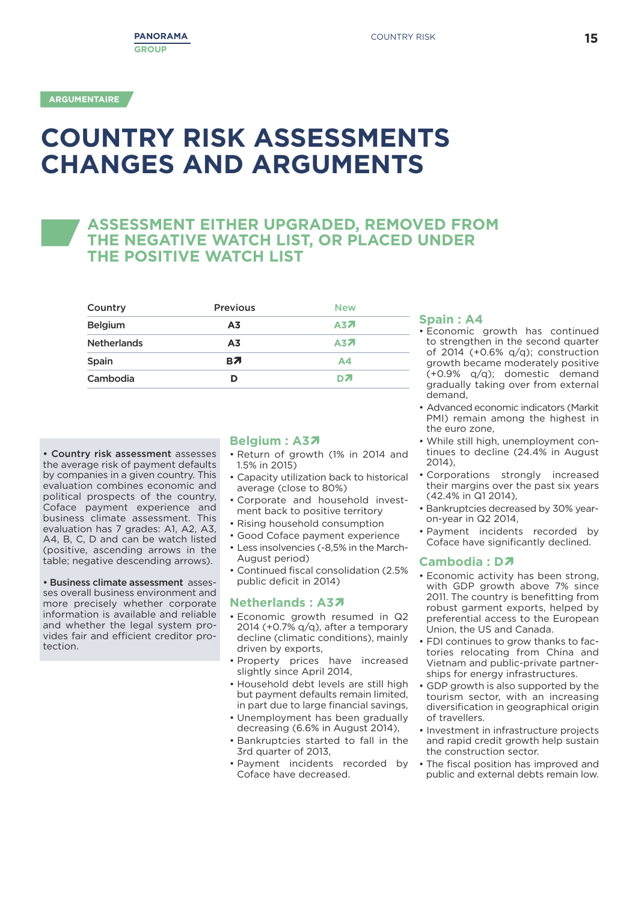# **COUNTRY RISK ASSESSMENTS CHANGES AND ARGUMENTS**

## **ASSESSMENT EITHER UPGRADED, REMOVED FROM THE NEGATIVE WATCH LIST, OR PLACED UNDER THE POSITIVE WATCH LIST**

| Country            | <b>Previous</b> | <b>New</b>     |
|--------------------|-----------------|----------------|
| <b>Belgium</b>     | A <sub>3</sub>  | A37            |
| <b>Netherlands</b> | A <sub>3</sub>  | <b>A37</b>     |
| Spain              | BЛ              | A <sub>4</sub> |
| Cambodia           | ח               | DZ.            |
|                    |                 |                |

**• Country risk assessment** assesses the average risk of payment defaults by companies in a given country. This evaluation combines economic and political prospects of the country, Coface payment experience and business climate assessment. This evaluation has 7 grades: A1, A2, A3, A4, B, C, D and can be watch listed (positive, ascending arrows in the table; negative descending arrows).

**• Business climate assessment** assesses overall business environment and more precisely whether corporate information is available and reliable and whether the legal system provides fair and efficient creditor protection.

### **Belgium : A3**Ï

- Return of growth (1% in 2014 and 1.5% in 2015)
- Capacity utilization back to historical average (close to 80%)
- Corporate and household investment back to positive territory
- Rising household consumption
- Good Coface payment experience
- Less insolvencies (-8,5% in the March-August period)
- Continued fiscal consolidation (2.5% public deficit in 2014)

#### **Netherlands : A3**Ï

- Economic growth resumed in Q2 2014 (+0.7%  $q/q$ ), after a temporary decline (climatic conditions), mainly driven by exports,
- Property prices have increased slightly since April 2014,
- Household debt levels are still high but payment defaults remain limited, in part due to large financial savings,
- Unemployment has been gradually decreasing (6.6% in August 2014),
- Bankruptcies started to fall in the 3rd quarter of 2013,
- Payment incidents recorded by Coface have decreased.

#### **Spain : A4**

- Economic growth has continued to strengthen in the second quarter of 2014 (+0.6% q/q); construction growth became moderately positive (+0.9% q/q); domestic demand gradually taking over from external demand,
- Advanced economic indicators (Markit PMI) remain among the highest in the euro zone,
- While still high, unemployment continues to decline (24.4% in August 2014),
- Corporations strongly increased their margins over the past six years (42.4% in Q1 2014),
- Bankruptcies decreased by 30% yearon-year in Q2 2014,
- Payment incidents recorded by Coface have significantly declined.

#### **Cambodia : D**Ï

- Economic activity has been strong, with GDP growth above 7% since 2011. The country is benefitting from robust garment exports, helped by preferential access to the European Union, the US and Canada.
- FDI continues to grow thanks to factories relocating from China and Vietnam and public-private partnerships for energy infrastructures.
- GDP growth is also supported by the tourism sector, with an increasing diversification in geographical origin of travellers.
- Investment in infrastructure projects and rapid credit growth help sustain the construction sector.
- The fiscal position has improved and public and external debts remain low.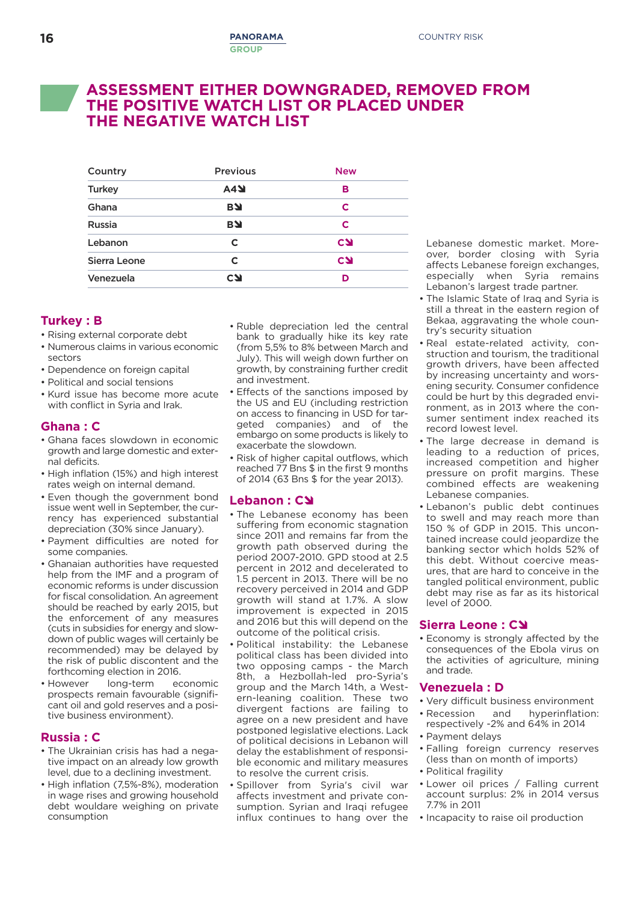## **ASSESSMENT EITHER DOWNGRADED, REMOVED FROM THE POSITIVE WATCH LIST OR PLACED UNDER THE NEGATIVE WATCH LIST**

| <b>Previous</b> | <b>New</b> |
|-----------------|------------|
| <b>A4Y</b>      | в          |
| <b>BY</b>       | C          |
| <b>BY</b>       | C          |
| C               | <b>CSI</b> |
| C               | <b>CSI</b> |
| <b>CN</b>       | D          |
|                 |            |

### **Turkey : B**

- Rising external corporate debt
- Numerous claims in various economic sectors
- Dependence on foreign capital
- Political and social tensions
- Kurd issue has become more acute with conflict in Syria and Irak.

### **Ghana : C**

- Ghana faces slowdown in economic growth and large domestic and external deficits.
- High inflation (15%) and high interest rates weigh on internal demand.
- Even though the government bond issue went well in September, the currency has experienced substantial depreciation (30% since January).
- Payment difficulties are noted for some companies.
- Ghanaian authorities have requested help from the IMF and a program of economic reforms is under discussion for fiscal consolidation. An agreement should be reached by early 2015, but the enforcement of any measures (cuts in subsidies for energy and slowdown of public wages will certainly be recommended) may be delayed by the risk of public discontent and the forthcoming election in 2016.
- However long-term economic prospects remain favourable (significant oil and gold reserves and a positive business environment).

#### **Russia : C**

- The Ukrainian crisis has had a negative impact on an already low growth level, due to a declining investment.
- High inflation (7,5%-8%), moderation in wage rises and growing household debt wouldare weighing on private consumption
- Ruble depreciation led the central bank to gradually hike its key rate (from 5,5% to 8% between March and July). This will weigh down further on growth, by constraining further credit and investment.
- Effects of the sanctions imposed by the US and EU (including restriction on access to financing in USD for targeted companies) and of the embargo on some products is likely to exacerbate the slowdown.
- Risk of higher capital outflows, which reached 77 Bns \$ in the first 9 months of 2014 (63 Bns \$ for the year 2013).

#### **Lebanon : C**

- The Lebanese economy has been suffering from economic stagnation since 2011 and remains far from the growth path observed during the period 2007-2010. GPD stood at 2.5 percent in 2012 and decelerated to 1.5 percent in 2013. There will be no recovery perceived in 2014 and GDP growth will stand at 1.7%. A slow improvement is expected in 2015 and 2016 but this will depend on the outcome of the political crisis.
- Political instability: the Lebanese political class has been divided into two opposing camps - the March 8th, a Hezbollah-led pro-Syria's group and the March 14th, a Western-leaning coalition. These two divergent factions are failing to agree on a new president and have postponed legislative elections. Lack of political decisions in Lebanon will delay the establishment of responsible economic and military measures to resolve the current crisis.
- Spillover from Syria's civil war affects investment and private consumption. Syrian and Iraqi refugee influx continues to hang over the

Lebanese domestic market. Moreover, border closing with Syria affects Lebanese foreign exchanges, especially when Syria remains Lebanon's largest trade partner.

- The Islamic State of Iraq and Syria is still a threat in the eastern region of Bekaa, aggravating the whole country's security situation
- Real estate-related activity, construction and tourism, the traditional growth drivers, have been affected by increasing uncertainty and worsening security. Consumer confidence could be hurt by this degraded environment, as in 2013 where the consumer sentiment index reached its record lowest level.
- The large decrease in demand is leading to a reduction of prices, increased competition and higher pressure on profit margins. These combined effects are weakening Lebanese companies.
- Lebanon's public debt continues to swell and may reach more than 150 % of GDP in 2015. This uncontained increase could jeopardize the banking sector which holds 52% of this debt. Without coercive measures, that are hard to conceive in the tangled political environment, public debt may rise as far as its historical level of 2000.

#### **Sierra Leone : C**

• Economy is strongly affected by the consequences of the Ebola virus on the activities of agriculture, mining and trade.

#### **Venezuela : D**

- Very difficult business environment
- Recession and hyperinflation: respectively -2% and 64% in 2014
- Payment delays
- Falling foreign currency reserves (less than on month of imports) • Political fragility
- Lower oil prices / Falling current account surplus: 2% in 2014 versus 7.7% in 2011
- Incapacity to raise oil production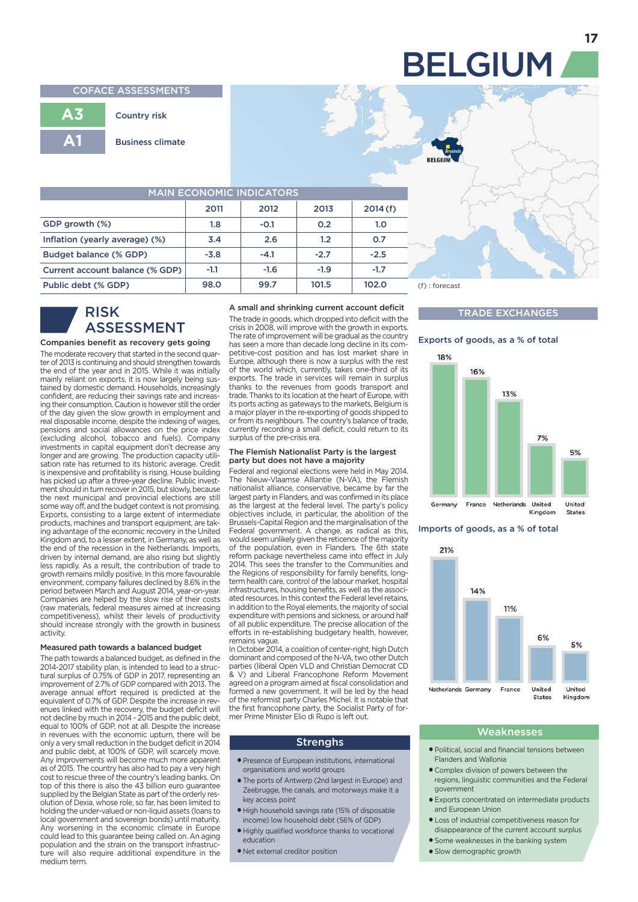#### **COFACE ASSESSMENTS**

|     | <b>Country risk</b>     |
|-----|-------------------------|
| A 1 | <b>Business climate</b> |

| <b>MAIN ECONOMIC INDICATORS</b> |        |        |        |         |  |
|---------------------------------|--------|--------|--------|---------|--|
|                                 | 2011   | 2012   | 2013   | 2014(f) |  |
| GDP growth (%)                  | 1.8    | $-0.1$ | 0.2    | 1.0     |  |
| Inflation (yearly average) (%)  | 3.4    | 2.6    | 1.2    | O.7     |  |
| Budget balance (% GDP)          | $-3.8$ | $-4.1$ | $-2.7$ | $-2.5$  |  |
| Current account balance (% GDP) | $-1.1$ | $-1.6$ | $-1.9$ | $-1.7$  |  |
| Public debt (% GDP)             | 98.0   | 99.7   | 101.5  | 102.0   |  |

### **RISK ASSESSMENT**

**3**

#### **Companies benefit as recovery gets going**

The moderate recovery that started in the second quarter of 2013 is continuing and should strengthen towards the end of the year and in 2015. While it was initially mainly reliant on exports, it is now largely being sustained by domestic demand. Households, increasingly confident, are reducing their savings rate and increasing their consumption. Caution is however still the order of the day given the slow growth in employment and real disposable income, despite the indexing of wages, pensions and social allowances on the price index (excluding alcohol, tobacco and fuels). Company investments in capital equipment don't decrease any longer and are growing. The production capacity utili-sation rate has returned to its historic average. Credit is inexpensive and profitability is rising. House building has picked up after a three-year decline. Public investment should in turn recover in 2015, but slowly, because the next municipal and provincial elections are still some way off, and the budget context is not promising. Exports, consisting to a large extent of intermediate products, machines and transport equipment, are taking advantage of the economic recovery in the United Kingdom and, to a lesser extent, in Germany, as well as the end of the recession in the Netherlands. Imports, driven by internal demand, are also rising but slightly less rapidly. As a result, the contribution of trade to growth remains mildly positive. In this more favourable environment, company failures declined by 8.6% in the period between March and August 2014, year-on-year. Companies are helped by the slow rise of their costs (raw materials, federal measures aimed at increasing competitiveness), whilst their levels of productivity should increase strongly with the growth in business activity.

#### **Measured path towards a balanced budget**

The path towards a balanced budget, as defined in the 2014-2017 stability plan, is intended to lead to a structural surplus of 0.75% of GDP in 2017, representing an improvement of 2.7% of GDP compared with 2013. The average annual effort required is predicted at the equivalent of 0.7% of GDP. Despite the increase in revenues linked with the recovery, the budget deficit will not decline by much in 2014 - 2015 and the public debt, equal to 100% of GDP, not at all. Despite the increase in revenues with the economic upturn, there will be only a very small reduction in the budget deficit in 2014 and public debt, at 100% of GDP, will scarcely move. Any improvements will become much more apparent as of 2015. The country has also had to pay a very high cost to rescue three of the country's leading banks. On top of this there is also the 43 billion euro guarantee supplied by the Belgian State as part of the orderly resolution of Dexia, whose role, so far, has been limited to holding the under-valued or non-liquid assets (loans to local government and sovereign bonds) until maturity. Any worsening in the economic climate in Europe could lead to this guarantee being called on. An aging population and the strain on the transport infrastructure will also require additional expenditure in the medium term.

#### **A small and shrinking current account deficit**

The trade in goods, which dropped into deficit with the crisis in 2008, will improve with the growth in exports. The rate of improvement will be gradual as the country has seen a more than decade long decline in its competitive-cost position and has lost market share in Europe, although there is now a surplus with the rest of the world which, currently, takes one-third of its exports. The trade in services will remain in surplus thanks to the revenues from goods transport and trade. Thanks to its location at the heart of Europe, with its ports acting as gateways to the markets, Belgium is a major player in the re-exporting of goods shipped to or from its neighbours. The country's balance of trade, currently recording a small deficit, could return to its surplus of the pre-crisis era.

#### **The Flemish Nationalist Party is the largest party but does not have a majority**

Federal and regional elections were held in May 2014. The Nieuw-Vlaamse Alliantie (N-VA), the Flemish nationalist alliance, conservative, became by far the largest party in Flanders, and was confirmed in its place as the largest at the federal level. The party's policy objectives include, in particular, the abolition of the Brussels-Capital Region and the marginalisation of the Federal government. A change, as radical as this, would seem unlikely given the reticence of the majority of the population, even in Flanders. The 6th state reform package nevertheless came into effect in July 2014. This sees the transfer to the Communities and the Regions of responsibility for family benefits, longterm health care, control of the labour market, hospital infrastructures, housing benefits, as well as the associated resources. In this context the Federal level retains, in addition to the Royal elements, the majority of social expenditure with pensions and sickness, or around half of all public expenditure. The precise allocation of the efforts in re-establishing budgetary health, however, remains vague.

In October 2014, a coalition of center-right, high Dutch dominant and composed of the N-VA, two other Dutch parties (liberal Open VLD and Christian Democrat CD & V) and Liberal Francophone Reform Movement agreed on a program aimed at fiscal consolidation and formed a new government. It will be led by the head of the reformist party Charles Michel. It is notable that the first francophone party, the Socialist Party of for-mer Prime Minister Elio di Rupo is left out.

#### **Strenghs**

- **●** Presence of European institutions, international organisations and world groups
- **●** The ports of Antwerp (2nd largest in Europe) and Zeebrugge, the canals, and motorways make it a key access point
- **●** High household savings rate (15% of disposable income) low household debt (56% of GDP)
- **●** Highly qualified workforce thanks to vocational education
- **●** Net external creditor position

 **98.0 99.7 101.5 102.0** (f) : forecast (p) : prévision

#### **TRADE EXCHANGES**

#### **Exports of goods, as a % of total**



**Imports of goods, as a % of total**



#### **Weaknesses**

- **●** Political, social and financial tensions between Flanders and Wallonia
- **●** Complex division of powers between the regions, linguistic communities and the Federal government
- **●** Exports concentrated on intermediate products and European Union
- **●** Loss of industrial competitiveness reason for disappearance of the current account surplus
- **●** Some weaknesses in the banking system
- **●** Slow demographic growth

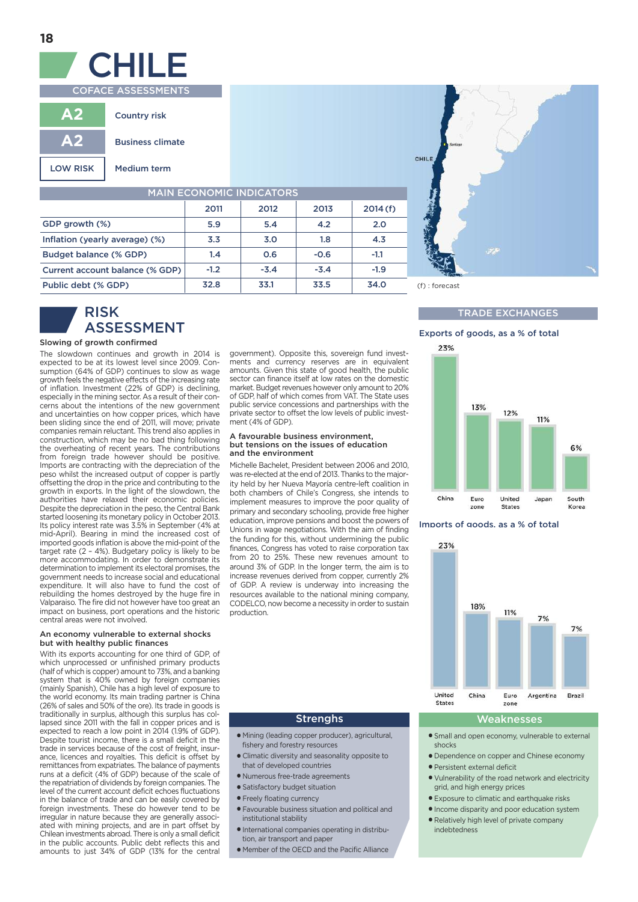

**18**

**COFACE ASSESSMENTS**

| А.              | <b>Country risk</b>     |
|-----------------|-------------------------|
| AV.             | <b>Business climate</b> |
| <b>LOW RISK</b> | Medium term             |

| <b>MAIN ECONOMIC INDICATORS</b> |        |        |        |         |
|---------------------------------|--------|--------|--------|---------|
|                                 | 2011   | 2012   | 2013   | 2014(f) |
| GDP growth (%)                  | 5.9    | 5.4    | 4.2    | 2.0     |
| Inflation (yearly average) (%)  | 3.3    | 3.0    | 1.8    | 4.3     |
| Budget balance (% GDP)          | 1.4    | 0.6    | $-0.6$ | $-1.1$  |
| Current account balance (% GDP) | $-1.2$ | $-3.4$ | $-3.4$ | $-1.9$  |
| Public debt (% GDP)             | 32.8   | 33.1   | 33.5   | 34.0    |



### **RISK ASSESSMENT**

#### **Slowing of growth confirmed**

**3**

The slowdown continues and growth in 2014 is expected to be at its lowest level since 2009. Consumption (64% of GDP) continues to slow as wage growth feels the negative effects of the increasing rate of inflation. Investment (22% of GDP) is declining, especially in the mining sector. As a result of their concerns about the intentions of the new government and uncertainties on how copper prices, which have been sliding since the end of 2011, will move; private companies remain reluctant. This trend also applies in construction, which may be no bad thing following the overheating of recent years. The contributions from foreign trade however should be positive. Imports are contracting with the depreciation of the peso whilst the increased output of copper is partly offsetting the drop in the price and contributing to the growth in exports. In the light of the slowdown, the authorities have relaxed their economic policies. Despite the depreciation in the peso, the Central Bank started loosening its monetary policy in October 2013. Its policy interest rate was 3.5% in September (4% at mid-April). Bearing in mind the increased cost of imported goods inflation is above the mid-point of the target rate (2 – 4%). Budgetary policy is likely to be more accommodating. In order to demonstrate its determination to implement its electoral promises, the government needs to increase social and educational expenditure. It will also have to fund the cost of rebuilding the homes destroyed by the huge fire in Valparaiso. The fire did not however have too great an impact on business, port operations and the historic central areas were not involved.

#### **An economy vulnerable to external shocks but with healthy public finances**

With its exports accounting for one third of GDP, of which unprocessed or unfinished primary products (half of which is copper) amount to 73%, and a banking system that is 40% owned by foreign companies (mainly Spanish), Chile has a high level of exposure to the world economy. Its main trading partner is China (26% of sales and 50% of the ore). Its trade in goods is traditionally in surplus, although this surplus has collapsed since 2011 with the fall in copper prices and is expected to reach a low point in 2014 (1.9% of GDP). Despite tourist income, there is a small deficit in the trade in services because of the cost of freight, insurance, licences and royalties. This deficit is offset by remittances from expatriates. The balance of payments runs at a deficit (4% of GDP) because of the scale of the repatriation of dividends by foreign companies. The level of the current account deficit echoes fluctuations in the balance of trade and can be easily covered by foreign investments. These do however tend to be irregular in nature because they are generally associated with mining projects, and are in part offset by Chilean investments abroad. There is only a small deficit in the public accounts. Public debt reflects this and amounts to just 34% of GDP (13% for the central government). Opposite this, sovereign fund investments and currency reserves are in equivalent amounts. Given this state of good health, the public sector can finance itself at low rates on the domestic market. Budget revenues however only amount to 20% of GDP, half of which comes from VAT. The State uses public service concessions and partnerships with the private sector to offset the low levels of public investment (4% of GDP).

#### **A favourable business environment, but tensions on the issues of education and the environment**

Michelle Bachelet, President between 2006 and 2010, was re-elected at the end of 2013. Thanks to the majority held by her Nueva Mayoría centre-left coalition in both chambers of Chile's Congress, she intends to implement measures to improve the poor quality of primary and secondary schooling, provide free higher education, improve pensions and boost the powers of Unions in wage negotiations. With the aim of finding the funding for this, without undermining the public finances, Congress has voted to raise corporation tax from 20 to 25%. These new revenues amount to around 3% of GDP. In the longer term, the aim is to increase revenues derived from copper, currently 2% of GDP. A review is underway into increasing the resources available to the national mining company, CODELCO, now become a necessity in order to sustain production



#### **TRADE EXCHANGES**





#### **Imports of goods, as a % of total**



#### **Strenghs**

- **●** Mining (leading copper producer), agricultural, fishery and forestry resources
- **●** Climatic diversity and seasonality opposite to that of developed countries
- **●** Numerous free-trade agreements
- **●** Satisfactory budget situation
- **●** Freely floating currency
- **●** Favourable business situation and political and institutional stability
- **●** International companies operating in distribution, air transport and paper
- **●** Member of the OECD and the Pacific Alliance

#### **Weaknesses**

- **●** Small and open economy, vulnerable to external shocks
- **●** Dependence on copper and Chinese economy
- **●** Persistent external deficit
- **●** Vulnerability of the road network and electricity grid, and high energy prices
- **●** Exposure to climatic and earthquake risks
- **●** Income disparity and poor education system
	- **●** Relatively high level of private company indebtedness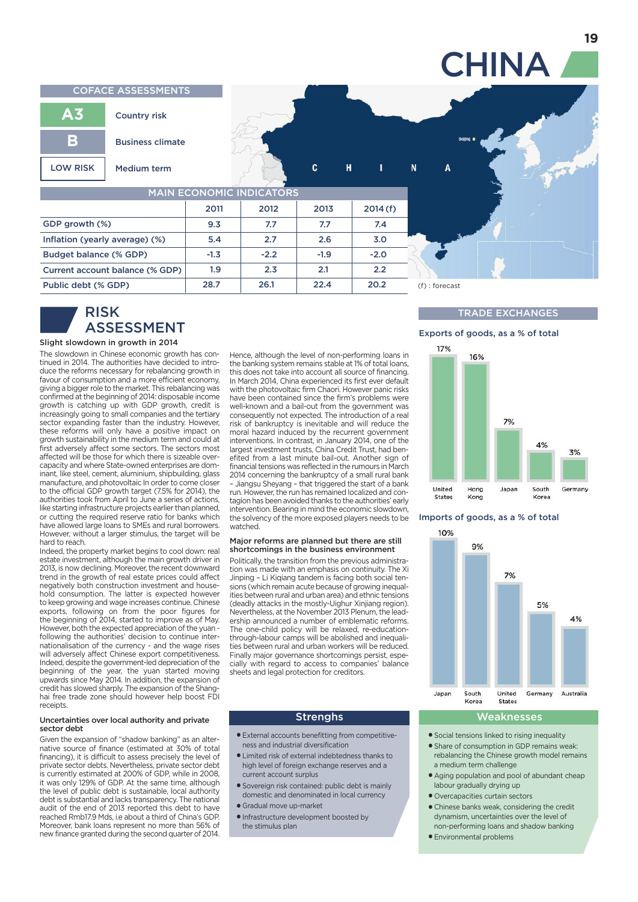**CHINA COFACE ASSESSMENTS A3 Country risk B Business climate** c N **LOW RISK Medium term** Н **MAIN ECONOMIC INDICATORS 2011 2012 2013 2014(f) GDP growth (%) 9.3 7.7 7.7 7.4 Inflation (yearly average) (%) 5.4 2.7 2.6 3.0 -1.3 -2.2 -1.9 -2.0 Budget balance (% GDP) Current account balance (% GDP) 1.9 2.3 2.1 2.2 28.7** 26.1 22.4 20.2 (f) : forecast **Public debt (% GDP)**

## **RISK ASSESSMENT**

#### **Slight slowdown in growth in 2014**

**3**

The slowdown in Chinese economic growth has continued in 2014. The authorities have decided to introduce the reforms necessary for rebalancing growth in favour of consumption and a more efficient economy, giving a bigger role to the market. This rebalancing was confirmed at the beginning of 2014: disposable income growth is catching up with GDP growth, credit is increasingly going to small companies and the tertiary sector expanding faster than the industry. However, these reforms will only have a positive impact on growth sustainability in the medium term and could at first adversely affect some sectors. The sectors most affected will be those for which there is sizeable overcapacity and where State-owned enterprises are dominant, like steel, cement, aluminium, shipbuilding, glass manufacture, and photovoltaic In order to come closer to the official GDP growth target (7.5% for 2014), the authorities took from April to June a series of actions, like starting infrastructure projects earlier than planned, or cutting the required reserve ratio for banks which have allowed large loans to SMEs and rural borrowers. However, without a larger stimulus, the target will be hard to reach.

Indeed, the property market begins to cool down: real estate investment, although the main growth driver in 2013, is now declining. Moreover, the recent downward trend in the growth of real estate prices could affect negatively both construction investment and household consumption. The latter is expected however to keep growing and wage increases continue. Chinese exports, following on from the poor figures for the beginning of 2014, started to improve as of May. However, both the expected appreciation of the yuan following the authorities' decision to continue internationalisation of the currency - and the wage rises will adversely affect Chinese export competitiveness. Indeed, despite the government-led depreciation of the beginning of the year, the yuan started moving upwards since May 2014. In addition, the expansion of credit has slowed sharply. The expansion of the Shanghai free trade zone should however help boost FDI receipts.

#### **Uncertainties over local authority and private sector debt**

Given the expansion of "shadow banking" as an alternative source of finance (estimated at 30% of total financing), it is difficult to assess precisely the level of private sector debts. Nevertheless, private sector debt is currently estimated at 200% of GDP, while in 2008, it was only 129% of GDP. At the same time, although the level of public debt is sustainable, local authority debt is substantial and lacks transparency. The national audit of the end of 2013 reported this debt to have reached Rmb17.9 Mds, i.e about a third of China's GDP. Moreover, bank loans represent no more than 56% of new finance granted during the second quarter of 2014.

Hence, although the level of non-performing loans in the banking system remains stable at 1% of total loans, this does not take into account all source of financing. In March 2014, China experienced its first ever default with the photovoltaic firm Chaori. However panic risks have been contained since the firm's problems were well-known and a bail-out from the government was consequently not expected. The introduction of a real risk of bankruptcy is inevitable and will reduce the moral hazard induced by the recurrent government interventions. In contrast, in January 2014, one of the largest investment trusts, China Credit Trust, had benefited from a last minute bail-out. Another sign of financial tensions was reflected in the rumours in March 2014 concerning the bankruptcy of a small rural bank – Jiangsu Sheyang – that triggered the start of a bank run. However, the run has remained localized and contagion has been avoided thanks to the authorities' early intervention. Bearing in mind the economic slowdown, the solvency of the more exposed players needs to be watched.

#### **Major reforms are planned but there are still shortcomings in the business environment**

Politically, the transition from the previous administration was made with an emphasis on continuity. The Xi Jinping – Li Kiqiang tandem is facing both social tensions (which remain acute because of growing inequalities between rural and urban area) and ethnic tensions (deadly attacks in the mostly-Uighur Xinjiang region). Nevertheless, at the November 2013 Plenum, the leadership announced a number of emblematic reforms. The one-child policy will be relaxed, re-educationthrough-labour camps will be abolished and inequalities between rural and urban workers will be reduced. Finally major governance shortcomings persist, especially with regard to access to companies' balance sheets and legal protection for creditors.

#### **Strenghs**

- **●** External accounts benefitting from competitiveness and industrial diversification
- **●** Limited risk of external indebtedness thanks to high level of foreign exchange reserves and a current account surplus
- **●** Sovereign risk contained: public debt is mainly domestic and denominated in local currency
- **●** Gradual move up-market
- **●** Infrastructure development boosted by the stimulus plan

### **TRADE EXCHANGES**





#### **Imports of goods, as a % of total**



### **Weaknesses**

- **●** Social tensions linked to rising inequality
- **●** Share of consumption in GDP remains weak: rebalancing the Chinese growth model remains a medium term challenge
- **●** Aging population and pool of abundant cheap labour gradually drying up
- **●** Overcapacities curtain sectors
- **●** Chinese banks weak, considering the credit dynamism, uncertainties over the level of non-performing loans and shadow banking
- **●** Environmental problems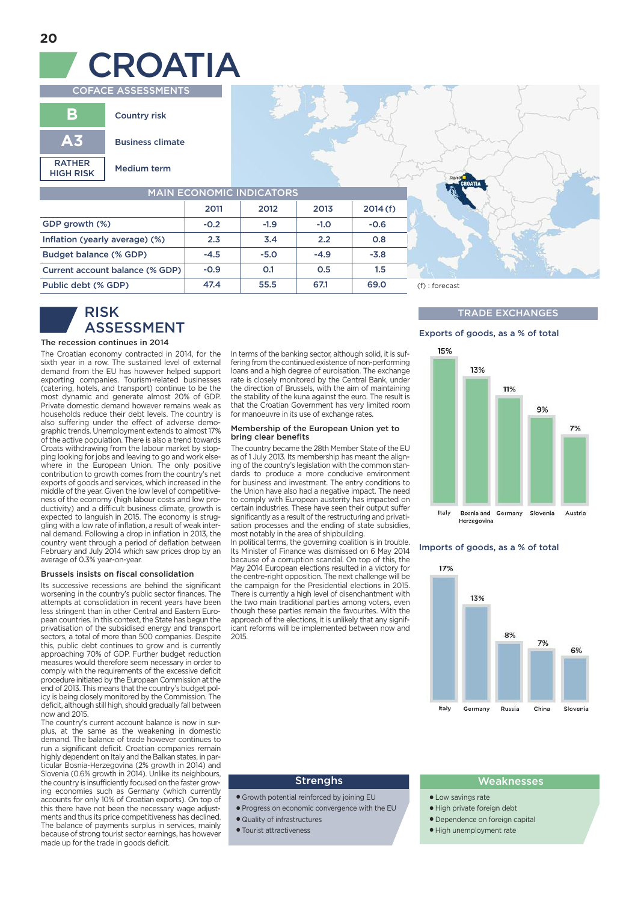# **COFACE ASSESSMENTS CROATIA**

|                                   | <b>Country risk</b>     |  |  |
|-----------------------------------|-------------------------|--|--|
| Δ3                                | <b>Business climate</b> |  |  |
| <b>RATHER</b><br><b>HIGH RISK</b> | <b>Medium term</b>      |  |  |

| <b>MAIN ECONOMIC INDICATORS</b> |        |        |        |         |
|---------------------------------|--------|--------|--------|---------|
|                                 | 2011   | 2012   | 2013   | 2014(f) |
| GDP growth (%)                  | $-0.2$ | $-1.9$ | $-1.0$ | $-0.6$  |
| Inflation (yearly average) (%)  | 2.3    | 3.4    | 2.2    | 0.8     |
| Budget balance (% GDP)          | $-4.5$ | $-5.0$ | $-4.9$ | $-3.8$  |
| Current account balance (% GDP) | $-0.9$ | O.1    | 0.5    | 1.5     |
| Public debt (% GDP)             | 47.4   | 55.5   | 67.1   | 69.0    |

## **RISK ASSESSMENT**

#### **The recession continues in 2014**

The Croatian economy contracted in 2014, for the sixth year in a row. The sustained level of external demand from the EU has however helped support exporting companies. Tourism-related businesses (catering, hotels, and transport) continue to be the most dynamic and generate almost 20% of GDP. Private domestic demand however remains weak as households reduce their debt levels. The country is also suffering under the effect of adverse demographic trends. Unemployment extends to almost 17% of the active population. There is also a trend towards Croats withdrawing from the labour market by stopping looking for jobs and leaving to go and work elsewhere in the European Union. The only positive contribution to growth comes from the country's net exports of goods and services, which increased in the middle of the year. Given the low level of competitiveness of the economy (high labour costs and low productivity) and a difficult business climate, growth is expected to languish in 2015. The economy is struggling with a low rate of inflation, a result of weak internal demand. Following a drop in inflation in 2013, the country went through a period of deflation between February and July 2014 which saw prices drop by an average of 0.3% year-on-year.

#### **Brussels insists on fiscal consolidation**

Its successive recessions are behind the significant worsening in the country's public sector finances. The attempts at consolidation in recent years have been less stringent than in other Central and Eastern European countries. In this context, the State has begun the privatisation of the subsidised energy and transport sectors, a total of more than 500 companies. Despite this, public debt continues to grow and is currently approaching 70% of GDP. Further budget reduction measures would therefore seem necessary in order to comply with the requirements of the excessive deficit procedure initiated by the European Commission at the end of 2013. This means that the country's budget policy is being closely monitored by the Commission. The deficit, although still high, should gradually fall between now and 2015.

The country's current account balance is now in surplus, at the same as the weakening in domestic demand. The balance of trade however continues to run a significant deficit. Croatian companies remain highly dependent on Italy and the Balkan states, in particular Bosnia-Herzegovina (2% growth in 2014) and Slovenia (0.6% growth in 2014). Unlike its neighbours, the country is insufficiently focused on the faster growing economies such as Germany (which currently accounts for only 10% of Croatian exports). On top of this there have not been the necessary wage adjustments and thus its price competitiveness has declined. The balance of payments surplus in services, mainly because of strong tourist sector earnings, has however made up for the trade in goods deficit.

In terms of the banking sector, although solid, it is suffering from the continued existence of non-performing loans and a high degree of euroisation. The exchange rate is closely monitored by the Central Bank, under the direction of Brussels, with the aim of maintaining the stability of the kuna against the euro. The result is that the Croatian Government has very limited room for manoeuvre in its use of exchange rates.

#### **Membership of the European Union yet to bring clear benefits**

The country became the 28th Member State of the EU as of 1 July 2013. Its membership has meant the aligning of the country's legislation with the common standards to produce a more conducive environment for business and investment. The entry conditions to the Union have also had a negative impact. The need to comply with European austerity has impacted on certain industries. These have seen their output suffer significantly as a result of the restructuring and privatisation processes and the ending of state subsidies, most notably in the area of shipbuilding.

In political terms, the governing coalition is in trouble. Its Minister of Finance was dismissed on 6 May 2014 because of a corruption scandal. On top of this, the May 2014 European elections resulted in a victory for the centre-right opposition. The next challenge will be the campaign for the Presidential elections in 2015. There is currently a high level of disenchantment with the two main traditional parties among voters, even though these parties remain the favourites. With the approach of the elections, it is unlikely that any significant reforms will be implemented between now and 2015.

#### **47.4 55.5 67.1 69.0** (f) : forecast (p) : prévision

#### **TRADE EXCHANGES**

#### **Exports of goods, as a % of total**



#### **Imports of goods, as a % of total**



- **●** Growth potential reinforced by joining EU
- **●** Progress on economic convergence with the EU
- **●** Quality of infrastructures
- **●** Tourist attractiveness

#### **Strenghs Weaknesses**

- **●** Low savings rate
- **●** High private foreign debt
- **●** Dependence on foreign capital
- **●** High unemployment rate

**3**

**3**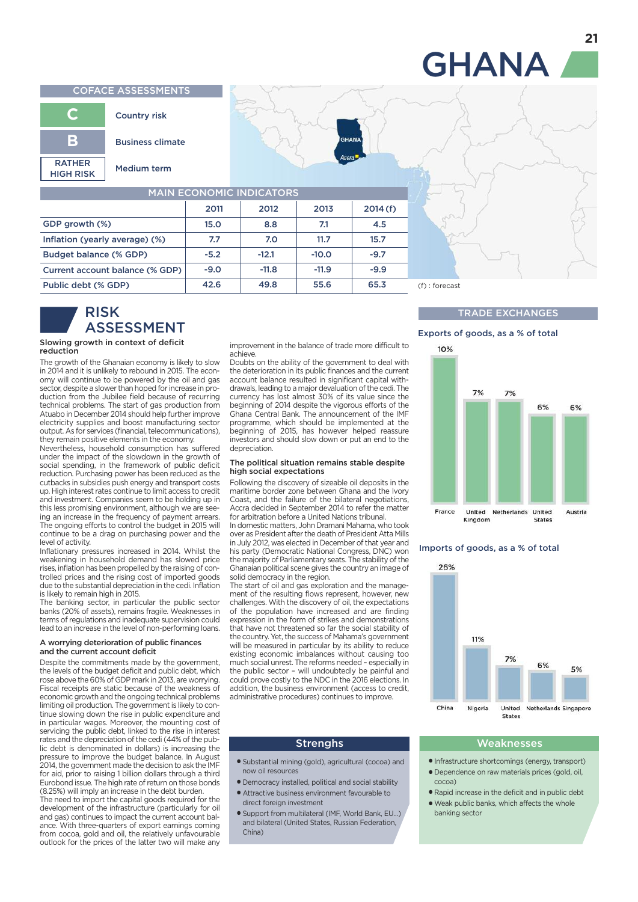#### **COFACE ASSESSMENTS**



| <b>MAIN ECONOMIC INDICATORS</b> |        |         |         |         |
|---------------------------------|--------|---------|---------|---------|
|                                 | 2011   | 2012    | 2013    | 2014(f) |
| GDP growth (%)                  | 15.0   | 8.8     | 7.1     | 4.5     |
| Inflation (yearly average) (%)  | 7.7    | 7.0     | 11.7    | 15.7    |
| Budget balance (% GDP)          | $-5.2$ | $-12.1$ | $-10.0$ | $-9.7$  |
| Current account balance (% GDP) | $-9.0$ | $-11.8$ | $-11.9$ | $-9.9$  |
| Public debt (% GDP)             | 42.6   | 49.8    | 55.6    | 65.3    |

### **RISK ASSESSMENT**

#### **Slowing growth in context of deficit reduction**

**3**

The growth of the Ghanaian economy is likely to slow in 2014 and it is unlikely to rebound in 2015. The economy will continue to be powered by the oil and gas sector, despite a slower than hoped for increase in production from the Jubilee field because of recurring technical problems. The start of gas production from Atuabo in December 2014 should help further improve electricity supplies and boost manufacturing sector output. As for services (financial, telecommunications), they remain positive elements in the economy.

Nevertheless, household consumption has suffered under the impact of the slowdown in the growth of social spending, in the framework of public deficit reduction. Purchasing power has been reduced as the cutbacks in subsidies push energy and transport costs up. High interest rates continue to limit access to credit and investment. Companies seem to be holding up in this less promising environment, although we are seeing an increase in the frequency of payment arrears. The ongoing efforts to control the budget in 2015 will continue to be a drag on purchasing power and the level of activity.

Inflationary pressures increased in 2014. Whilst the weakening in household demand has slowed price rises, inflation has been propelled by the raising of controlled prices and the rising cost of imported goods due to the substantial depreciation in the cedi. Inflation is likely to remain high in 2015.

The banking sector, in particular the public sector banks (20% of assets), remains fragile. Weaknesses in terms of regulations and inadequate supervision could lead to an increase in the level of non-performing loans.

#### **A worrying deterioration of public finances and the current account deficit**

Despite the commitments made by the government. the levels of the budget deficit and public debt, which rose above the 60% of GDP mark in 2013, are worrying. Fiscal receipts are static because of the weakness of economic growth and the ongoing technical problems limiting oil production. The government is likely to continue slowing down the rise in public expenditure and in particular wages. Moreover, the mounting cost of servicing the public debt, linked to the rise in interest rates and the depreciation of the cedi (44% of the public debt is denominated in dollars) is increasing the pressure to improve the budget balance. In August 2014, the government made the decision to ask the IMF for aid, prior to raising 1 billion dollars through a third Eurobond issue. The high rate of return on those bonds (8.25%) will imply an increase in the debt burden.

The need to import the capital goods required for the development of the infrastructure (particularly for oil and gas) continues to impact the current account balance. With three-quarters of export earnings coming from cocoa, gold and oil, the relatively unfavourable outlook for the prices of the latter two will make any

improvement in the balance of trade more difficult to achieve.

Doubts on the ability of the government to deal with the deterioration in its public finances and the current account balance resulted in significant capital withdrawals, leading to a major devaluation of the cedi. The currency has lost almost 30% of its value since the beginning of 2014 despite the vigorous efforts of the Ghana Central Bank. The announcement of the IMF programme, which should be implemented at the beginning of 2015, has however helped reassure investors and should slow down or put an end to the depreciation.

#### **The political situation remains stable despite high social expectations**

Following the discovery of sizeable oil deposits in the maritime border zone between Ghana and the Ivory Coast, and the failure of the bilateral negotiations, Accra decided in September 2014 to refer the matter for arbitration before a United Nations tribunal.

In domestic matters, John Dramani Mahama, who took over as President after the death of President Atta Mills in July 2012, was elected in December of that year and his party (Democratic National Congress, DNC) won the majority of Parliamentary seats. The stability of the Ghanaian political scene gives the country an image of solid democracy in the region.

The start of oil and gas exploration and the management of the resulting flows represent, however, new challenges. With the discovery of oil, the expectations of the population have increased and are finding expression in the form of strikes and demonstrations that have not threatened so far the social stability of the country. Yet, the success of Mahama's government will be measured in particular by its ability to reduce existing economic imbalances without causing too much social unrest. The reforms needed – especially in the public sector – will undoubtedly be painful and could prove costly to the NDC in the 2016 elections. In addition, the business environment (access to credit, administrative procedures) continues to improve.

#### **42.6 49.8 55.6 65.3** (f) : forecast (p) : prévision

#### **TRADE EXCHANGES**

### **Exports of goods, as a % of total**



#### **Imports of goods, as a % of total**



- **●** Substantial mining (gold), agricultural (cocoa) and now oil resources
- **●** Democracy installed, political and social stability **●** Attractive business environment favourable to
- direct foreign investment
- **●** Support from multilateral (IMF, World Bank, EU…) and bilateral (United States, Russian Federation, China)
- **●** Infrastructure shortcomings (energy, transport)
- **●** Dependence on raw materials prices (gold, oil, cocoa)
- **●** Rapid increase in the deficit and in public debt
- **●** Weak public banks, which affects the whole banking sector

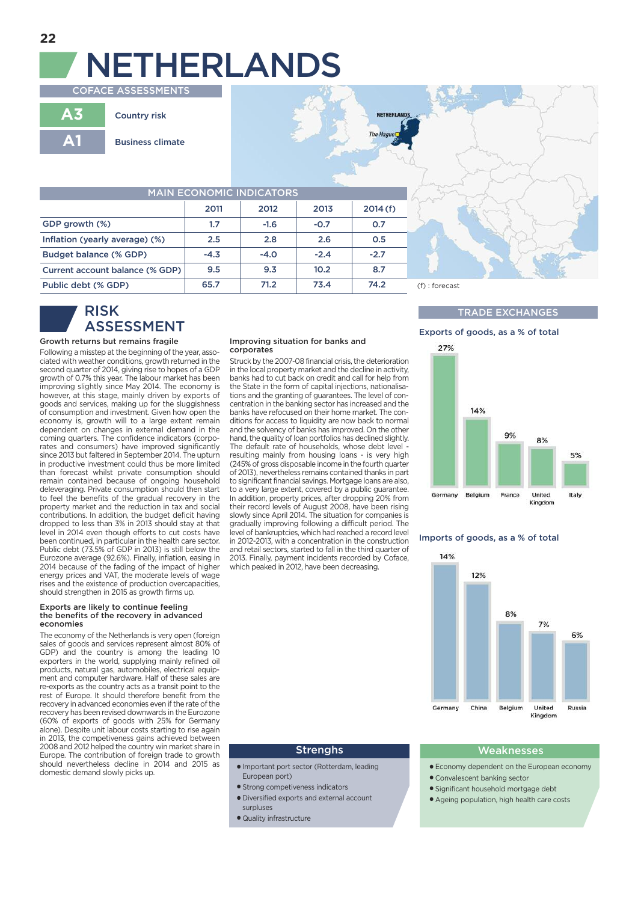# **NETHERLANDS COFACE ASSESSMENTS**

**A3 A1 Country risk Business climate**

| <b>MAIN ECONOMIC INDICATORS</b> |        |        |        |         |
|---------------------------------|--------|--------|--------|---------|
|                                 | 2011   | 2012   | 2013   | 2014(f) |
| GDP growth (%)                  | 1.7    | $-1.6$ | $-0.7$ | O.7     |
| Inflation (yearly average) (%)  | 2.5    | 2.8    | 2.6    | 0.5     |
| Budget balance (% GDP)          | $-4.3$ | $-4.0$ | $-2.4$ | $-2.7$  |
| Current account balance (% GDP) | 9.5    | 9.3    | 10.2   | 8.7     |
| Public debt (% GDP)             | 65.7   | 71.2   | 73.4   | 74.2    |

## **RISK ASSESSMENT**

#### **Growth returns but remains fragile**

Following a misstep at the beginning of the year, associated with weather conditions, growth returned in the second quarter of 2014, giving rise to hopes of a GDP growth of 0.7% this year. The labour market has been improving slightly since May 2014. The economy is however, at this stage, mainly driven by exports of goods and services, making up for the sluggishness of consumption and investment. Given how open the economy is, growth will to a large extent remain dependent on changes in external demand in the coming quarters. The confidence indicators (corporates and consumers) have improved significantly since 2013 but faltered in September 2014. The upturn in productive investment could thus be more limited than forecast whilst private consumption should remain contained because of ongoing household deleveraging. Private consumption should then start to feel the benefits of the gradual recovery in the property market and the reduction in tax and social contributions. In addition, the budget deficit having dropped to less than 3% in 2013 should stay at that level in 2014 even though efforts to cut costs have been continued, in particular in the health care sector. Public debt (73.5% of GDP in 2013) is still below the Eurozone average (92.6%). Finally, inflation, easing in 2014 because of the fading of the impact of higher energy prices and VAT, the moderate levels of wage rises and the existence of production overcapacities, should strengthen in 2015 as growth firms up.

#### **Exports are likely to continue feeling the benefits of the recovery in advanced economies**

The economy of the Netherlands is very open (foreign sales of goods and services represent almost 80% of GDP) and the country is among the leading 10 exporters in the world, supplying mainly refined oil products, natural gas, automobiles, electrical equipment and computer hardware. Half of these sales are re-exports as the country acts as a transit point to the rest of Europe. It should therefore benefit from the recovery in advanced economies even if the rate of the recovery has been revised downwards in the Eurozone (60% of exports of goods with 25% for Germany alone). Despite unit labour costs starting to rise again in 2013, the competiveness gains achieved between 2008 and 2012 helped the country win market share in Europe. The contribution of foreign trade to growth should nevertheless decline in 2014 and 2015 as domestic demand slowly picks up.

#### **Improving situation for banks and corporates**

Struck by the 2007-08 financial crisis, the deterioration in the local property market and the decline in activity, banks had to cut back on credit and call for help from the State in the form of capital injections, nationalisations and the granting of guarantees. The level of concentration in the banking sector has increased and the banks have refocused on their home market. The conditions for access to liquidity are now back to normal and the solvency of banks has improved. On the other hand, the quality of loan portfolios has declined slightly. The default rate of households, whose debt level resulting mainly from housing loans - is very high (245% of gross disposable income in the fourth quarter of 2013), nevertheless remains contained thanks in part to significant financial savings. Mortgage loans are also, to a very large extent, covered by a public guarantee. In addition, property prices, after dropping 20% from their record levels of August 2008, have been rising slowly since April 2014. The situation for companies is gradually improving following a difficult period. The level of bankruptcies, which had reached a record level in 2012-2013, with a concentration in the construction and retail sectors, started to fall in the third quarter of 2013. Finally, payment incidents recorded by Coface, which peaked in 2012, have been decreasing.



NETHERLAN

The Hage

#### **TRADE EXCHANGES**





#### **Imports of goods, as a % of total**



- **●** Important port sector (Rotterdam, leading European port)
- **●** Strong competiveness indicators
- **●** Diversified exports and external account
- surpluses
- **●** Quality infrastructure

#### **Strenghs Weaknesses**

- **●** Economy dependent on the European economy
- **●** Convalescent banking sector
- **●** Significant household mortgage debt
- **●** Ageing population, high health care costs

**3**

**3**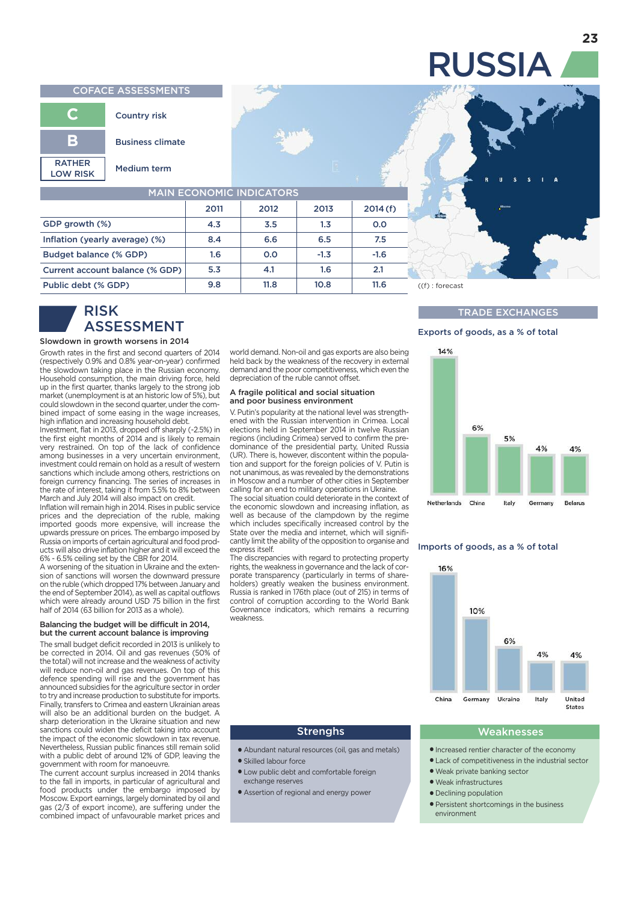#### **COFACE ASSESSMENTS**



| <b>MAIN ECONOMIC INDICATORS</b> |      |      |        |         |
|---------------------------------|------|------|--------|---------|
|                                 | 2011 | 2012 | 2013   | 2014(f) |
| GDP growth (%)                  | 4.3  | 3.5  | 1.3    | 0.0     |
| Inflation (yearly average) (%)  | 8.4  | 6.6  | 6.5    | 7.5     |
| Budget balance (% GDP)          | 1.6  | 0.0  | $-1.3$ | $-1.6$  |
| Current account balance (% GDP) | 5.3  | 4.1  | 1.6    | 2.1     |
| Public debt (% GDP)             | 9.8  | 11.8 | 10.8   | 11.6    |

### **RISK ASSESSMENT**

#### **Slowdown in growth worsens in 2014**

**3**

Growth rates in the first and second quarters of 2014 (respectively 0.9% and 0.8% year-on-year) confirmed the slowdown taking place in the Russian economy. Household consumption, the main driving force, held up in the first quarter, thanks largely to the strong job market (unemployment is at an historic low of 5%), but could slowdown in the second quarter, under the combined impact of some easing in the wage increases, high inflation and increasing household debt.

Investment, flat in 2013, dropped off sharply (-2.5%) in the first eight months of 2014 and is likely to remain very restrained. On top of the lack of confidence among businesses in a very uncertain environment, investment could remain on hold as a result of western sanctions which include among others, restrictions on foreign currency financing. The series of increases in the rate of interest, taking it from 5.5% to 8% between March and July 2014 will also impact on credit.

Inflation will remain high in 2014. Rises in public service prices and the depreciation of the ruble, making imported goods more expensive, will increase the upwards pressure on prices. The embargo imposed by Russia on imports of certain agricultural and food products will also drive inflation higher and it will exceed the 6% - 6.5% ceiling set by the CBR for 2014.

A worsening of the situation in Ukraine and the extension of sanctions will worsen the downward pressure on the ruble (which dropped 17% between January and the end of September 2014), as well as capital outflows which were already around USD 75 billion in the first half of 2014 (63 billion for 2013 as a whole).

#### **Balancing the budget will be difficult in 2014, but the current account balance is improving**

The small budget deficit recorded in 2013 is unlikely to be corrected in 2014. Oil and gas revenues (50% of the total) will not increase and the weakness of activity will reduce non-oil and gas revenues. On top of this defence spending will rise and the government has announced subsidies for the agriculture sector in order to try and increase production to substitute for imports. Finally, transfers to Crimea and eastern Ukrainian areas will also be an additional burden on the budget. A sharp deterioration in the Ukraine situation and new sanctions could widen the deficit taking into account the impact of the economic slowdown in tax revenue. Nevertheless, Russian public finances still remain solid with a public debt of around 12% of GDP, leaving the government with room for manoeuvre.

The current account surplus increased in 2014 thanks to the fall in imports, in particular of agricultural and food products under the embargo imposed by Moscow. Export earnings, largely dominated by oil and gas (2/3 of export income), are suffering under the combined impact of unfavourable market prices and

world demand. Non-oil and gas exports are also being held back by the weakness of the recovery in external demand and the poor competitiveness, which even the depreciation of the ruble cannot offset.

#### **A fragile political and social situation and poor business environment**

V. Putin's popularity at the national level was strengthened with the Russian intervention in Crimea. Local elections held in September 2014 in twelve Russian regions (including Crimea) served to confirm the predominance of the presidential party, United Russia (UR). There is, however, discontent within the population and support for the foreign policies of V. Putin is not unanimous, as was revealed by the demonstrations in Moscow and a number of other cities in September calling for an end to military operations in Ukraine.

The social situation could deteriorate in the context of the economic slowdown and increasing inflation, as well as because of the clampdown by the regime which includes specifically increased control by the State over the media and internet, which will significantly limit the ability of the opposition to organise and express itself.

The discrepancies with regard to protecting property rights, the weakness in governance and the lack of corporate transparency (particularly in terms of shareholders) greatly weaken the business environment. Russia is ranked in 176th place (out of 215) in terms of control of corruption according to the World Bank Governance indicators, which remains a recurring weakness.



#### **TRADE EXCHANGES**

#### **Exports of goods, as a % of total**



#### **Imports of goods, as a % of total**



- **●** Abundant natural resources (oil, gas and metals) **●** Skilled labour force
- **●** Low public debt and comfortable foreign exchange reserves
- **●** Assertion of regional and energy power

### **Strenghs Weaknesses**

- **●** Increased rentier character of the economy
- **●** Lack of competitiveness in the industrial sector
- **●** Weak private banking sector
- **●** Weak infrastructures
- **●** Declining population
- **●** Persistent shortcomings in the business environment

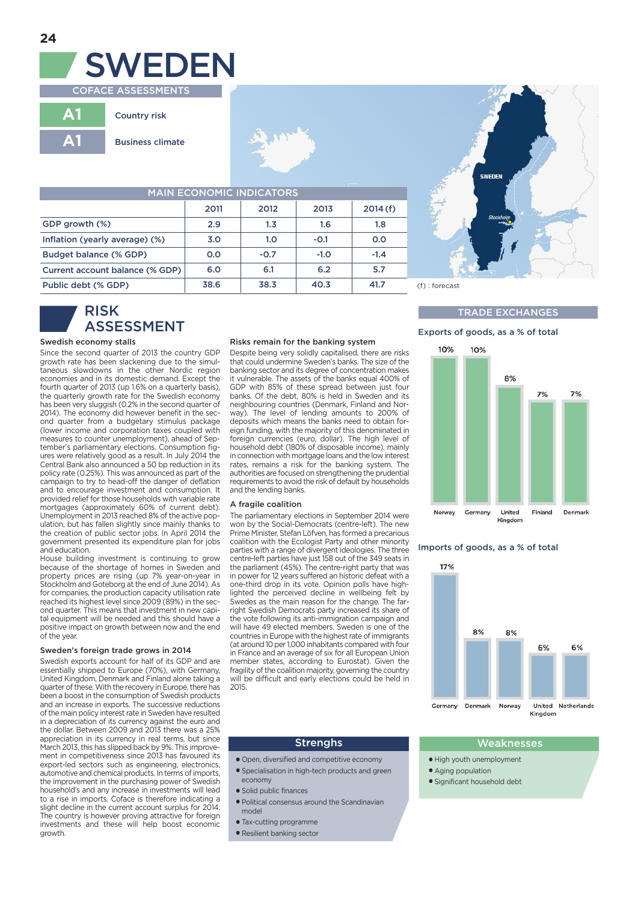

| <b>MAIN ECONOMIC INDICATORS</b> |      |        |        |         |
|---------------------------------|------|--------|--------|---------|
|                                 | 2011 | 2012   | 2013   | 2014(f) |
| GDP growth (%)                  | 2.9  | 1.3    | 1.6    | 1.8     |
| Inflation (yearly average) (%)  | 3.0  | 1.0    | $-0.1$ | 0.0     |
| Budget balance (% GDP)          | 0.0  | $-0.7$ | $-1.0$ | $-1.4$  |
| Current account balance (% GDP) | 6.0  | 6.1    | 6.2    | 5.7     |
| Public debt (% GDP)             | 38.6 | 38.3   | 40.3   | 41.7    |

### **RISK ASSESSMENT**

#### **Swedish economy stalls**

**3**

Since the second quarter of 2013 the country GDP growth rate has been slackening due to the simul-taneous slowdowns in the other Nordic region economies and in its domestic demand. Except the fourth quarter of 2013 (up 1.6% on a quarterly basis), the quarterly growth rate for the Swedish economy has been very sluggish (0.2% in the second quarter of 2014). The economy did however benefit in the second quarter from a budgetary stimulus package (lower income and corporation taxes coupled with measures to counter unemployment), ahead of September's parliamentary elections. Consumption figures were relatively good as a result. In July 2014 the Central Bank also announced a 50 bp reduction in its policy rate (0.25%). This was announced as part of the campaign to try to head-off the danger of deflation and to encourage investment and consumption. It provided relief for those households with variable rate mortgages (approximately 60% of current debt). Unemployment in 2013 reached 8% of the active population, but has fallen slightly since mainly thanks to the creation of public sector jobs. In April 2014 the government presented its expenditure plan for jobs and education.

House building investment is continuing to grow because of the shortage of homes in Sweden and property prices are rising (up 7% year-on-year in Stockholm and Goteborg at the end of June 2014). As for companies, the production capacity utilisation rate reached its highest level since 2009 (89%) in the second quarter. This means that investment in new capital equipment will be needed and this should have a positive impact on growth between now and the end of the year.

#### **Sweden's foreign trade grows in 2014**

Swedish exports account for half of its GDP and are essentially shipped to Europe (70%), with Germany, United Kingdom, Denmark and Finland alone taking a quarter of these.With the recovery in Europe, there has been a boost in the consumption of Swedish products and an increase in exports. The successive reductions of the main policy interest rate in Sweden have resulted in a depreciation of its currency against the euro and the dollar. Between 2009 and 2013 there was a 25% appreciation in its currency in real terms, but since March 2013, this has slipped back by 9%. This improvement in competitiveness since 2013 has favoured its export-led sectors such as engineering, electronics, automotive and chemical products. In terms of imports, the improvement in the purchasing power of Swedish household's and any increase in investments will lead to a rise in imports. Coface is therefore indicating a slight decline in the current account surplus for 2014. The country is however proving attractive for foreign investments and these will help boost economic growth.

#### **Risks remain for the banking system**

Despite being very solidly capitalised, there are risks that could undermine Sweden's banks. The size of the banking sector and its degree of concentration makes it vulnerable. The assets of the banks equal 400% of GDP with 85% of these spread between just four banks. Of the debt, 80% is held in Sweden and its neighbouring countries (Denmark, Finland and Norway). The level of lending amounts to 200% of deposits which means the banks need to obtain foreign funding, with the majority of this denominated in foreign currencies (euro, dollar). The high level of household debt (180% of disposable income), mainly in connection with mortgage loans and the low interest rates, remains a risk for the banking system. The authorities are focused on strengthening the prudential requirements to avoid the risk of default by households and the lending banks.

#### **A fragile coalition**

The parliamentary elections in September 2014 were won by the Social-Democrats (centre-left). The new Prime Minister, Stefan Löfven, has formed a precarious coalition with the Ecologist Party and other minority parties with a range of divergent ideologies. The three centre-left parties have just 158 out of the 349 seats in the parliament (45%). The centre-right party that was in power for 12 years suffered an historic defeat with a one-third drop in its vote. Opinion polls have highlighted the perceived decline in wellbeing felt by Swedes as the main reason for the change. The farright Swedish Democrats party increased its share of the vote following its anti-immigration campaign and will have 49 elected members. Sweden is one of the countries in Europe with the highest rate of immigrants (at around 10 per 1,000 inhabitants compared with four in France and an average of six for all European Union member states, according to Eurostat). Given the fragility of the coalition majority, governing the country will be difficult and early elections could be held in 2015.



#### **38.6 38.3 40.3 41.7** (f) : forecast (p) : prévision

#### **TRADE EXCHANGES**

#### **Exports of goods, as a % of total**



#### **Imports of goods, as a % of total**



- **●** Open, diversified and competitive economy
- **●** Specialisation in high-tech products and green economy
- **●** Solid public finances
- **●** Political consensus around the Scandinavian
- model
- **●** Tax-cutting programme
- **●** Resilient banking sector

#### **Strenghs Weaknesses**

- **●** High youth unemployment
- **●** Aging population
- **●** Significant household debt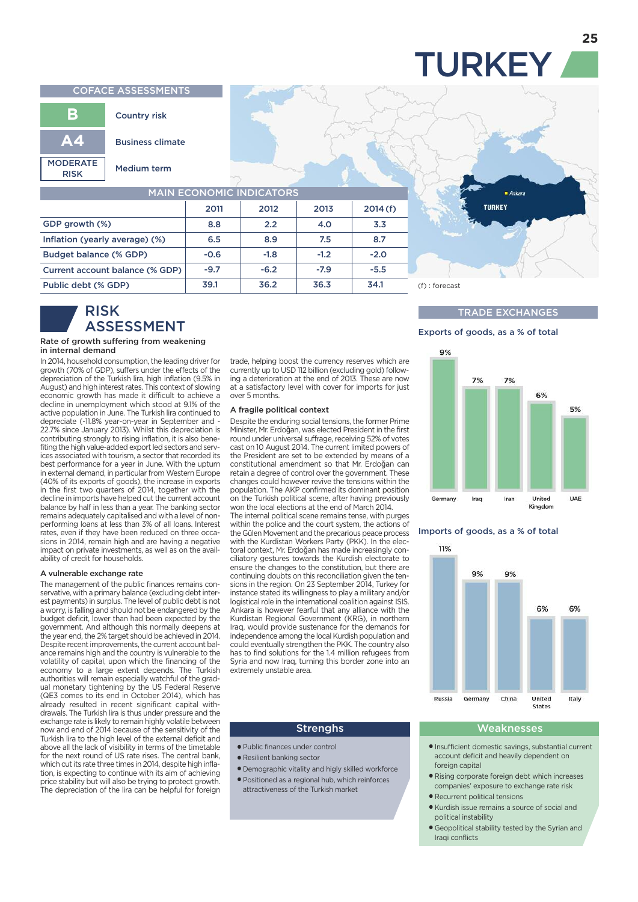# **TURKEY**

#### **COFACE ASSESSMENTS**



| <b>MAIN ECONOMIC INDICATORS</b> |        |        |        |         |  |
|---------------------------------|--------|--------|--------|---------|--|
|                                 | 2011   | 2012   | 2013   | 2014(f) |  |
| GDP growth (%)                  | 8.8    | 2.2    | 4.0    | 3.3     |  |
| Inflation (yearly average) (%)  | 6.5    | 8.9    | 7.5    | 8.7     |  |
| Budget balance (% GDP)          | $-0.6$ | $-1.8$ | $-1.2$ | $-2.0$  |  |
| Current account balance (% GDP) | $-9.7$ | $-6.2$ | $-7.9$ | $-5.5$  |  |
| Public debt (% GDP)             | 39.1   | 36.2   | 36.3   | 34.1    |  |

### **RISK ASSESSMENT**

#### **Rate of growth suffering from weakening in internal demand**

**3**

In 2014, household consumption, the leading driver for growth (70% of GDP), suffers under the effects of the depreciation of the Turkish lira, high inflation (9.5% in August) and high interest rates. This context of slowing economic growth has made it difficult to achieve a decline in unemployment which stood at 9.1% of the active population in June. The Turkish lira continued to depreciate (-11.8% year-on-year in September and - 22.7% since January 2013). Whilst this depreciation is contributing strongly to rising inflation, it is also benefiting the high value-added export led sectors and services associated with tourism, a sector that recorded its best performance for a year in June. With the upturn in external demand, in particular from Western Europe (40% of its exports of goods), the increase in exports in the first two quarters of 2014, together with the decline in imports have helped cut the current account balance by half in less than a year. The banking sector remains adequately capitalised and with a level of nonperforming loans at less than 3% of all loans. Interest rates, even if they have been reduced on three occasions in 2014, remain high and are having a negative impact on private investments, as well as on the availability of credit for households.

#### **A vulnerable exchange rate**

The management of the public finances remains conservative, with a primary balance (excluding debt interest payments) in surplus. The level of public debt is not a worry, is falling and should not be endangered by the budget deficit, lower than had been expected by the government. And although this normally deepens at the year end, the 2% target should be achieved in 2014. Despite recent improvements, the current account balance remains high and the country is vulnerable to the volatility of capital, upon which the financing of the economy to a large extent depends. The Turkish authorities will remain especially watchful of the gradual monetary tightening by the US Federal Reserve (QE3 comes to its end in October 2014), which has already resulted in recent significant capital withdrawals. The Turkish lira is thus under pressure and the exchange rate is likely to remain highly volatile between now and end of 2014 because of the sensitivity of the Turkish lira to the high level of the external deficit and above all the lack of visibility in terms of the timetable for the next round of US rate rises. The central bank, which cut its rate three times in 2014, despite high inflation, is expecting to continue with its aim of achieving price stability but will also be trying to protect growth. The depreciation of the lira can be helpful for foreign

trade, helping boost the currency reserves which are currently up to USD 112 billion (excluding gold) following a deterioration at the end of 2013. These are now at a satisfactory level with cover for imports for just over 5 months.

#### **A fragile political context**

Despite the enduring social tensions, the former Prime Minister, Mr. Erdoğan, was elected President in the first round under universal suffrage, receiving 52% of votes cast on 10 August 2014. The current limited powers of the President are set to be extended by means of a constitutional amendment so that Mr. Erdoğan can retain a degree of control over the government. These changes could however revive the tensions within the population. The AKP confirmed its dominant position on the Turkish political scene, after having previously won the local elections at the end of March 2014. The internal political scene remains tense, with purges

within the police and the court system, the actions of the Gülen Movement and the precarious peace process with the Kurdistan Workers Party (PKK). In the electoral context, Mr. Erdoğan has made increasingly conciliatory gestures towards the Kurdish electorate to ensure the changes to the constitution, but there are continuing doubts on this reconciliation given the tensions in the region. On 23 September 2014, Turkey for instance stated its willingness to play a military and/or logistical role in the international coalition against ISIS. Ankara is however fearful that any alliance with the Kurdistan Regional Government (KRG), in northern Iraq, would provide sustenance for the demands for independence among the local Kurdish population and could eventually strengthen the PKK. The country also has to find solutions for the 1.4 million refugees from Syria and now Iraq, turning this border zone into an extremely unstable area.

#### **39.1 36.2 36.3 34.1** (f) : forecast (p) : prévision

#### **TRADE EXCHANGES**

#### **Exports of goods, as a % of total**

**TURKEY** 



#### **Imports of goods, as a % of total**



- **●** Public finances under control
- **●** Resilient banking sector
- **●** Demographic vitality and higly skilled workforce
- **●** Positioned as a regional hub, which reinforces attractiveness of the Turkish market

#### **Strenghs Weaknesses**

- **●** Insufficient domestic savings, substantial current account deficit and heavily dependent on foreign capital
- **●** Rising corporate foreign debt which increases companies' exposure to exchange rate risk
- **●** Recurrent political tensions
- **●** Kurdish issue remains a source of social and political instability
- **●** Geopolitical stability tested by the Syrian and Iraqi conflicts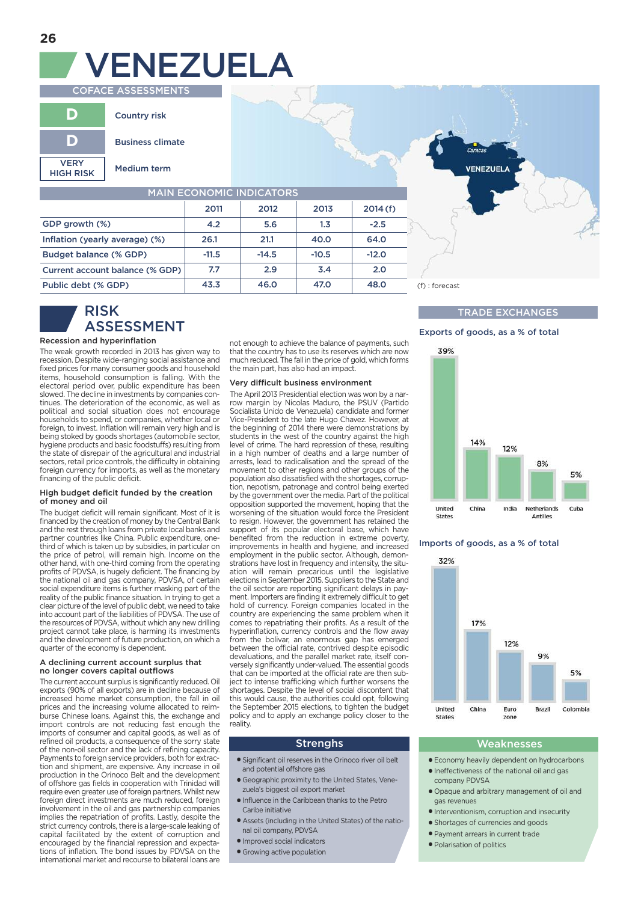# **COFACE ASSESSMENTS VENEZUELA**

|                                 | <b>Country risk</b>     |
|---------------------------------|-------------------------|
|                                 | <b>Business climate</b> |
| <b>VERY</b><br><b>HIGH RISK</b> | Medium term             |

| <b>MAIN ECONOMIC INDICATORS</b> |         |         |         |         |
|---------------------------------|---------|---------|---------|---------|
|                                 | 2011    | 2012    | 2013    | 2014(f) |
| GDP growth (%)                  | 4.2     | 5.6     | 1.3     | $-2.5$  |
| Inflation (yearly average) (%)  | 26.1    | 21.1    | 40.0    | 64.0    |
| Budget balance (% GDP)          | $-11.5$ | $-14.5$ | $-10.5$ | $-12.0$ |
| Current account balance (% GDP) | 7.7     | 2.9     | 3.4     | 2.0     |
| Public debt (% GDP)             | 43.3    | 46.0    | 47.0    | 48.0    |

## **RISK ASSESSMENT**

#### **Recession and hyperinflation**

**3**

The weak growth recorded in 2013 has given way to recession. Despite wide-ranging social assistance and fixed prices for many consumer goods and household items, household consumption is falling. With the electoral period over, public expenditure has been slowed. The decline in investments by companies continues. The deterioration of the economic, as well as political and social situation does not encourage households to spend, or companies, whether local or foreign, to invest. Inflation will remain very high and is being stoked by goods shortages (automobile sector, hygiene products and basic foodstuffs) resulting from the state of disrepair of the agricultural and industrial sectors, retail price controls, the difficulty in obtaining foreign currency for imports, as well as the monetary financing of the public deficit.

#### **High budget deficit funded by the creation of money and oil**

The budget deficit will remain significant. Most of it is financed by the creation of money by the Central Bank and the rest through loans from private local banks and partner countries like China. Public expenditure, onethird of which is taken up by subsidies, in particular on the price of petrol, will remain high. Income on the other hand, with one-third coming from the operating profits of PDVSA, is hugely deficient. The financing by the national oil and gas company, PDVSA, of certain social expenditure items is further masking part of the reality of the public finance situation. In trying to get a clear picture of the level of public debt, we need to take into account part of the liabilities of PDVSA. The use of the resources of PDVSA, without which any new drilling project cannot take place, is harming its investments and the development of future production, on which a quarter of the economy is dependent.

#### **A declining current account surplus that no longer covers capital outflows**

The current account surplus is significantly reduced. Oil exports (90% of all exports) are in decline because of increased home market consumption, the fall in oil prices and the increasing volume allocated to reimburse Chinese loans. Against this, the exchange and import controls are not reducing fast enough the imports of consumer and capital goods, as well as of refined oil products, a consequence of the sorry state of the non-oil sector and the lack of refining capacity. Payments to foreign service providers, both for extraction and shipment, are expensive. Any increase in oil production in the Orinoco Belt and the development of offshore gas fields in cooperation with Trinidad will require even greater use of foreign partners. Whilst new foreign direct investments are much reduced, foreign involvement in the oil and gas partnership companies implies the repatriation of profits. Lastly, despite the strict currency controls, there is a large-scale leaking of capital facilitated by the extent of corruption and encouraged by the financial repression and expectations of inflation. The bond issues by PDVSA on the international market and recourse to bilateral loans are

not enough to achieve the balance of payments, such that the country has to use its reserves which are now much reduced. The fall in the price of gold, which forms the main part, has also had an impact.

#### **Very difficult business environment**

The April 2013 Presidential election was won by a narrow margin by Nicolas Maduro, the PSUV (Partido Socialista Unido de Venezuela) candidate and former Vice-President to the late Hugo Chavez. However, at the beginning of 2014 there were demonstrations by students in the west of the country against the high level of crime. The hard repression of these, resulting in a high number of deaths and a large number of arrests, lead to radicalisation and the spread of the movement to other regions and other groups of the population also dissatisfied with the shortages, corruption, nepotism, patronage and control being exerted by the government over the media. Part of the political opposition supported the movement, hoping that the worsening of the situation would force the President to resign. However, the government has retained the support of its popular electoral base, which have benefited from the reduction in extreme poverty, improvements in health and hygiene, and increased employment in the public sector. Although, demonstrations have lost in frequency and intensity, the situation will remain precarious until the legislative elections in September 2015. Suppliers to the State and the oil sector are reporting significant delays in payment. Importers are finding it extremely difficult to get hold of currency. Foreign companies located in the country are experiencing the same problem when it comes to repatriating their profits. As a result of the hyperinflation, currency controls and the flow away from the bolivar, an enormous gap has emerged between the official rate, contrived despite episodic devaluations, and the parallel market rate, itself conversely significantly under-valued. The essential goods that can be imported at the official rate are then subject to intense trafficking which further worsens the shortages. Despite the level of social discontent that this would cause, the authorities could opt, following the September 2015 elections, to tighten the budget policy and to apply an exchange policy closer to the reality.

- **●** Significant oil reserves in the Orinoco river oil belt and potential offshore gas
- **●** Geographic proximity to the United States, Venezuela's biggest oil export market
- **●** Influence in the Caribbean thanks to the Petro Caribe initiative
- **●** Assets (including in the United States) of the national oil company, PDVSA
- **●** Improved social indicators
- **●** Growing active population

#### **43.3 46.0 47.0 48.0** (f) : forecast (p) : prévision

#### **TRADE EXCHANGES**

#### **Exports of goods, as a % of total**

**VENEZUEL** 



#### **Imports of goods, as a % of total**



#### **Strenghs Weaknesses**

- **●** Economy heavily dependent on hydrocarbons
- **●** Ineffectiveness of the national oil and gas company PDVSA
- **●** Opaque and arbitrary management of oil and gas revenues
- **●** Interventionism, corruption and insecurity
- **●** Shortages of currencies and goods
- **●** Payment arrears in current trade
- **●** Polarisation of politics

**3**